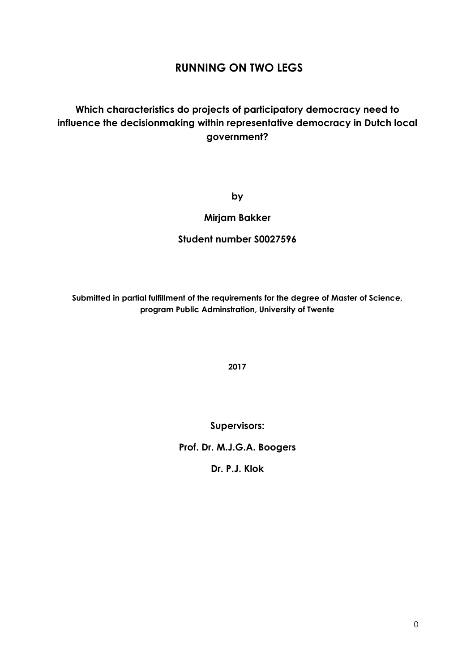# **RUNNING ON TWO LEGS**

# **Which characteristics do projects of participatory democracy need to influence the decisionmaking within representative democracy in Dutch local government?**

**by**

## **Mirjam Bakker**

## **Student number S0027596**

**Submitted in partial fulfillment of the requirements for the degree of Master of Science, program Public Adminstration, University of Twente**

**2017**

**Supervisors:**

**Prof. Dr. M.J.G.A. Boogers**

**Dr. P.J. Klok**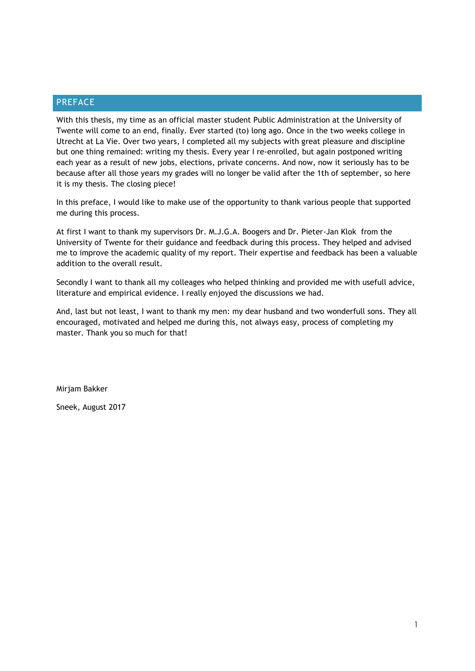## <span id="page-1-0"></span>PREFACE

With this thesis, my time as an official master student Public Administration at the University of Twente will come to an end, finally. Ever started (to) long ago. Once in the two weeks college in Utrecht at La Vie. Over two years, I completed all my subjects with great pleasure and discipline but one thing remained: writing my thesis. Every year I re-enrolled, but again postponed writing each year as a result of new jobs, elections, private concerns. And now, now it seriously has to be because after all those years my grades will no longer be valid after the 1th of september, so here it is my thesis. The closing piece!

In this preface, I would like to make use of the opportunity to thank various people that supported me during this process.

At first I want to thank my supervisors Dr. M.J.G.A. Boogers and Dr. Pieter-Jan Klok from the University of Twente for their guidance and feedback during this process. They helped and advised me to improve the academic quality of my report. Their expertise and feedback has been a valuable addition to the overall result.

Secondly I want to thank all my colleages who helped thinking and provided me with usefull advice, literature and empirical evidence. I really enjoyed the discussions we had.

And, last but not least, I want to thank my men: my dear husband and two wonderfull sons. They all encouraged, motivated and helped me during this, not always easy, process of completing my master. Thank you so much for that!

Mirjam Bakker

Sneek, August 2017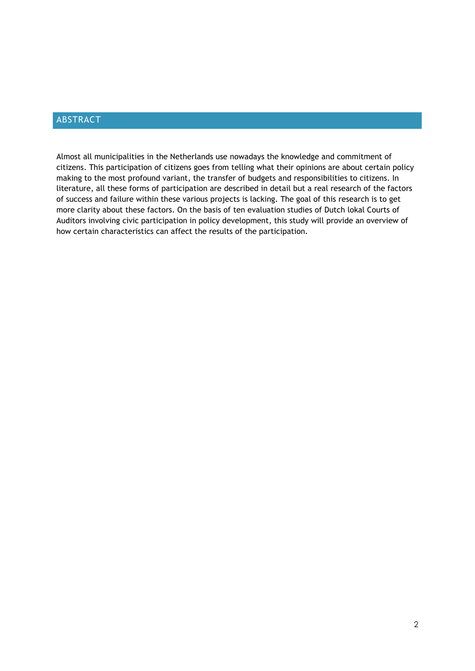## <span id="page-2-0"></span>ABSTRACT

Almost all municipalities in the Netherlands use nowadays the knowledge and commitment of citizens. This participation of citizens goes from telling what their opinions are about certain policy making to the most profound variant, the transfer of budgets and responsibilities to citizens. In literature, all these forms of participation are described in detail but a real research of the factors of success and failure within these various projects is lacking. The goal of this research is to get more clarity about these factors. On the basis of ten evaluation studies of Dutch lokal Courts of Auditors involving civic participation in policy development, this study will provide an overview of how certain characteristics can affect the results of the participation.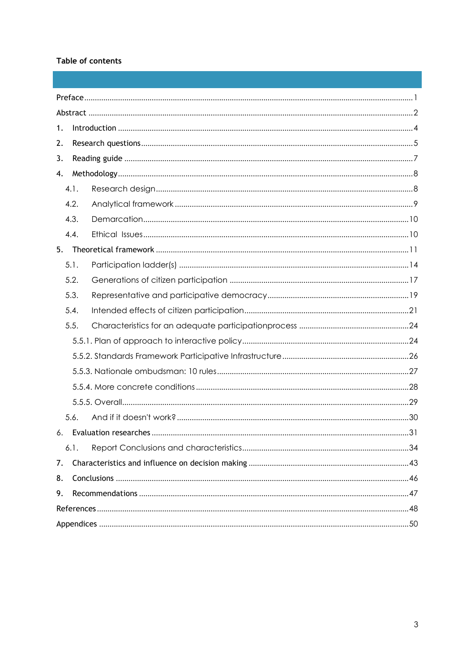## Table of contents

| 1. |      |  |  |  |
|----|------|--|--|--|
| 2. |      |  |  |  |
| 3. |      |  |  |  |
| 4. |      |  |  |  |
|    | 4.1. |  |  |  |
|    | 4.2. |  |  |  |
|    | 4.3. |  |  |  |
|    | 4.4. |  |  |  |
| 5. |      |  |  |  |
|    | 5.1. |  |  |  |
|    | 5.2. |  |  |  |
|    | 5.3. |  |  |  |
|    | 5.4. |  |  |  |
|    | 5.5. |  |  |  |
|    |      |  |  |  |
|    |      |  |  |  |
|    |      |  |  |  |
|    |      |  |  |  |
|    |      |  |  |  |
|    | 5.6. |  |  |  |
| 6. |      |  |  |  |
|    | 6.1. |  |  |  |
| 7. |      |  |  |  |
| 8. |      |  |  |  |
| 9. |      |  |  |  |
|    |      |  |  |  |
|    |      |  |  |  |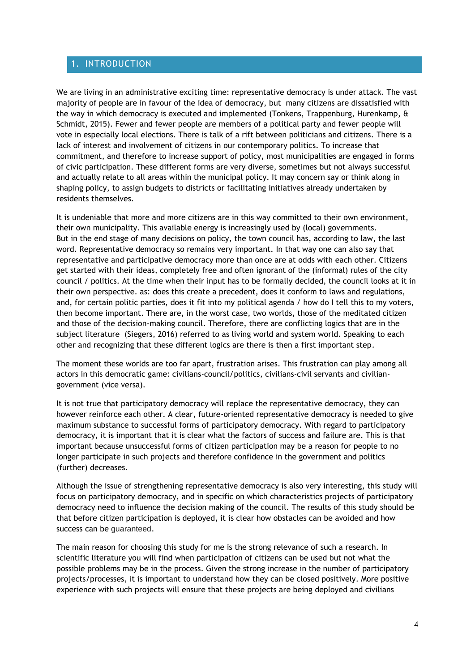## <span id="page-4-0"></span>1. INTRODUCTION

We are living in an administrative exciting time: representative democracy is under attack. The vast majority of people are in favour of the idea of democracy, but many citizens are dissatisfied with the way in which democracy is executed and implemented (Tonkens, Trappenburg, Hurenkamp, & Schmidt, 2015). Fewer and fewer people are members of a political party and fewer people will vote in especially local elections. There is talk of a rift between politicians and citizens. There is a lack of interest and involvement of citizens in our contemporary politics. To increase that commitment, and therefore to increase support of policy, most municipalities are engaged in forms of civic participation. These different forms are very diverse, sometimes but not always successful and actually relate to all areas within the municipal policy. It may concern say or think along in shaping policy, to assign budgets to districts or facilitating initiatives already undertaken by residents themselves.

It is undeniable that more and more citizens are in this way committed to their own environment, their own municipality. This available energy is increasingly used by (local) governments. But in the end stage of many decisions on policy, the town council has, according to law, the last word. Representative democracy so remains very important. In that way one can also say that representative and participative democracy more than once are at odds with each other. Citizens get started with their ideas, completely free and often ignorant of the (informal) rules of the city council / politics. At the time when their input has to be formally decided, the council looks at it in their own perspective. as: does this create a precedent, does it conform to laws and regulations, and, for certain politic parties, does it fit into my political agenda / how do I tell this to my voters, then become important. There are, in the worst case, two worlds, those of the meditated citizen and those of the decision-making council. Therefore, there are conflicting logics that are in the subject literature (Siegers, 2016) referred to as living world and system world. Speaking to each other and recognizing that these different logics are there is then a first important step.

The moment these worlds are too far apart, frustration arises. This frustration can play among all actors in this democratic game: civilians-council/politics, civilians-civil servants and civiliangovernment (vice versa).

It is not true that participatory democracy will replace the representative democracy, they can however reinforce each other. A clear, future-oriented representative democracy is needed to give maximum substance to successful forms of participatory democracy. With regard to participatory democracy, it is important that it is clear what the factors of success and failure are. This is that important because unsuccessful forms of citizen participation may be a reason for people to no longer participate in such projects and therefore confidence in the government and politics (further) decreases.

Although the issue of strengthening representative democracy is also very interesting, this study will focus on participatory democracy, and in specific on which characteristics projects of participatory democracy need to influence the decision making of the council. The results of this study should be that before citizen participation is deployed, it is clear how obstacles can be avoided and how success can be quaranteed.

The main reason for choosing this study for me is the strong relevance of such a research. In scientific literature you will find when participation of citizens can be used but not what the possible problems may be in the process. Given the strong increase in the number of participatory projects/processes, it is important to understand how they can be closed positively. More positive experience with such projects will ensure that these projects are being deployed and civilians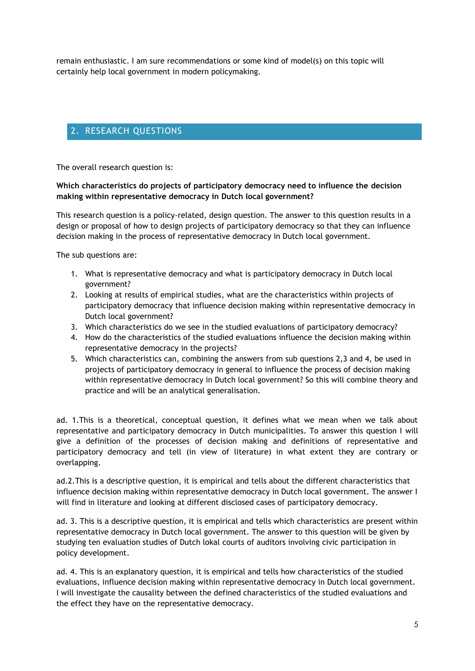remain enthusiastic. I am sure recommendations or some kind of model(s) on this topic will certainly help local government in modern policymaking.

## <span id="page-5-0"></span>2. RESEARCH QUESTIONS

The overall research question is:

## **Which characteristics do projects of participatory democracy need to influence the decision making within representative democracy in Dutch local government?**

This research question is a policy-related, design question. The answer to this question results in a design or proposal of how to design projects of participatory democracy so that they can influence decision making in the process of representative democracy in Dutch local government.

The sub questions are:

- 1. What is representative democracy and what is participatory democracy in Dutch local government?
- 2. Looking at results of empirical studies, what are the characteristics within projects of participatory democracy that influence decision making within representative democracy in Dutch local government?
- 3. Which characteristics do we see in the studied evaluations of participatory democracy?
- 4. How do the characteristics of the studied evaluations influence the decision making within representative democracy in the projects?
- 5. Which characteristics can, combining the answers from sub questions 2,3 and 4, be used in projects of participatory democracy in general to influence the process of decision making within representative democracy in Dutch local government? So this will combine theory and practice and will be an analytical generalisation.

ad. 1.This is a theoretical, conceptual question, it defines what we mean when we talk about representative and participatory democracy in Dutch municipalities. To answer this question I will give a definition of the processes of decision making and definitions of representative and participatory democracy and tell (in view of literature) in what extent they are contrary or overlapping.

ad.2.This is a descriptive question, it is empirical and tells about the different characteristics that influence decision making within representative democracy in Dutch local government. The answer I will find in literature and looking at different disclosed cases of participatory democracy.

ad. 3. This is a descriptive question, it is empirical and tells which characteristics are present within representative democracy in Dutch local government. The answer to this question will be given by studying ten evaluation studies of Dutch lokal courts of auditors involving civic participation in policy development.

ad. 4. This is an explanatory question, it is empirical and tells how characteristics of the studied evaluations, influence decision making within representative democracy in Dutch local government. I will investigate the causality between the defined characteristics of the studied evaluations and the effect they have on the representative democracy.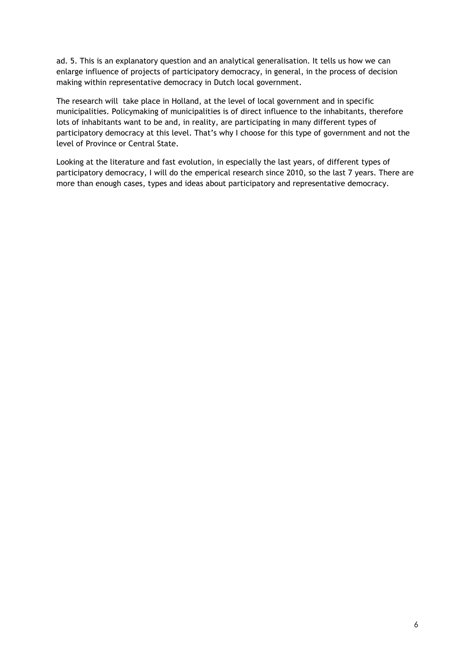ad. 5. This is an explanatory question and an analytical generalisation. It tells us how we can enlarge influence of projects of participatory democracy, in general, in the process of decision making within representative democracy in Dutch local government.

The research will take place in Holland, at the level of local government and in specific municipalities. Policymaking of municipalities is of direct influence to the inhabitants, therefore lots of inhabitants want to be and, in reality, are participating in many different types of participatory democracy at this level. That's why I choose for this type of government and not the level of Province or Central State.

Looking at the literature and fast evolution, in especially the last years, of different types of participatory democracy, I will do the emperical research since 2010, so the last 7 years. There are more than enough cases, types and ideas about participatory and representative democracy.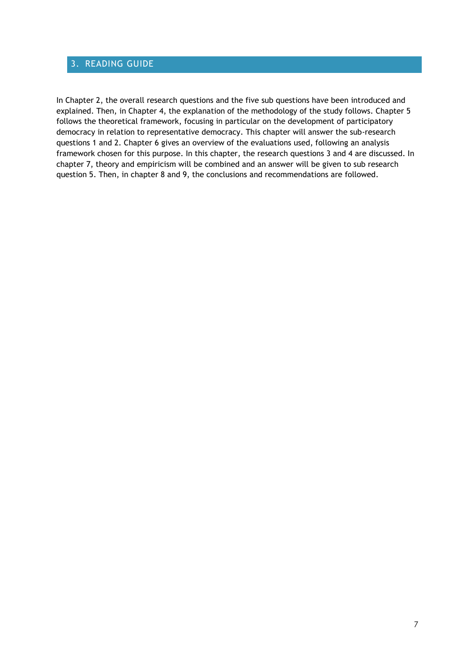## <span id="page-7-0"></span>3. READING GUIDE

In Chapter 2, the overall research questions and the five sub questions have been introduced and explained. Then, in Chapter 4, the explanation of the methodology of the study follows. Chapter 5 follows the theoretical framework, focusing in particular on the development of participatory democracy in relation to representative democracy. This chapter will answer the sub-research questions 1 and 2. Chapter 6 gives an overview of the evaluations used, following an analysis framework chosen for this purpose. In this chapter, the research questions 3 and 4 are discussed. In chapter 7, theory and empiricism will be combined and an answer will be given to sub research question 5. Then, in chapter 8 and 9, the conclusions and recommendations are followed.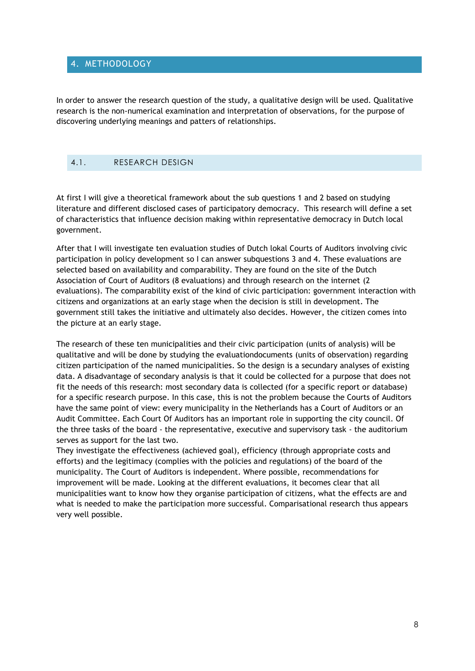## <span id="page-8-0"></span>4. METHODOLOGY

In order to answer the research question of the study, a qualitative design will be used. Qualitative research is the non-numerical examination and interpretation of observations, for the purpose of discovering underlying meanings and patters of relationships.

## <span id="page-8-1"></span>4.1. RESEARCH DESIGN

At first I will give a theoretical framework about the sub questions 1 and 2 based on studying literature and different disclosed cases of participatory democracy. This research will define a set of characteristics that influence decision making within representative democracy in Dutch local government.

After that I will investigate ten evaluation studies of Dutch lokal Courts of Auditors involving civic participation in policy development so I can answer subquestions 3 and 4. These evaluations are selected based on availability and comparability. They are found on the site of the Dutch Association of Court of Auditors (8 evaluations) and through research on the internet (2 evaluations). The comparability exist of the kind of civic participation: government interaction with citizens and organizations at an early stage when the decision is still in development. The government still takes the initiative and ultimately also decides. However, the citizen comes into the picture at an early stage.

The research of these ten municipalities and their civic participation (units of analysis) will be qualitative and will be done by studying the evaluationdocuments (units of observation) regarding citizen participation of the named municipalities. So the design is a secundary analyses of existing data. A disadvantage of secondary analysis is that it could be collected for a purpose that does not fit the needs of this research: most secondary data is collected (for a specific report or database) for a specific research purpose. In this case, this is not the problem because the Courts of Auditors have the same point of view: every municipality in the Netherlands has a Court of Auditors or an Audit Committee. Each Court Of Auditors has an important role in supporting the city council. Of the three tasks of the board - the representative, executive and supervisory task - the auditorium serves as support for the last two.

They investigate the effectiveness (achieved goal), efficiency (through appropriate costs and efforts) and the legitimacy (complies with the policies and regulations) of the board of the municipality. The Court of Auditors is independent. Where possible, recommendations for improvement will be made. Looking at the different evaluations, it becomes clear that all municipalities want to know how they organise participation of citizens, what the effects are and what is needed to make the participation more successful. Comparisational research thus appears very well possible.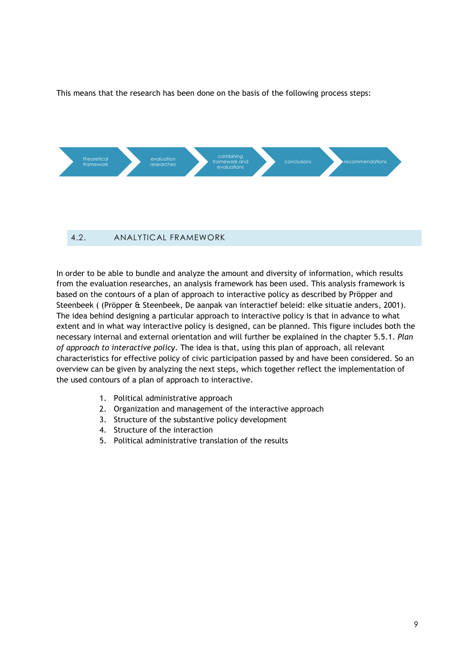This means that the research has been done on the basis of the following process steps:



<span id="page-9-0"></span>In order to be able to bundle and analyze the amount and diversity of information, which results from the evaluation researches, an analysis framework has been used. This analysis framework is based on the contours of a plan of approach to interactive policy as described by Pröpper and Steenbeek ( (Pröpper & Steenbeek, De aanpak van interactief beleid: elke situatie anders, 2001). The idea behind designing a particular approach to interactive policy is that in advance to what extent and in what way interactive policy is designed, can be planned. This figure includes both the necessary internal and external orientation and will further be explained in the chapter 5.5.1. *Plan of approach to interactive policy*. The idea is that, using this plan of approach, all relevant characteristics for effective policy of civic participation passed by and have been considered. So an overview can be given by analyzing the next steps, which together reflect the implementation of the used contours of a plan of approach to interactive.

- 1. Political administrative approach
- 2. Organization and management of the interactive approach
- 3. Structure of the substantive policy development
- 4. Structure of the interaction
- 5. Political administrative translation of the results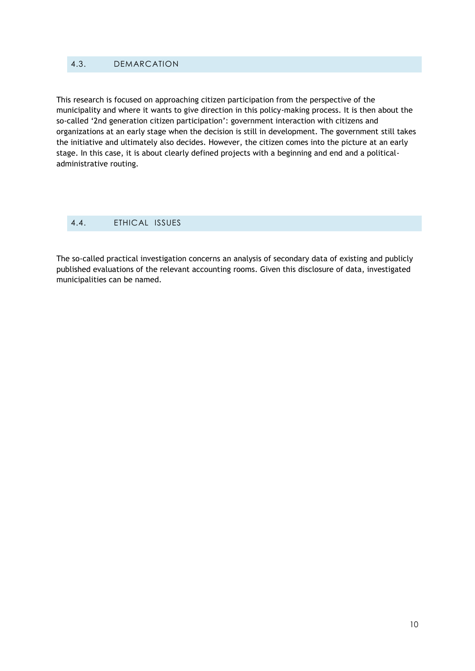## <span id="page-10-0"></span>4.3. DEMARCATION

This research is focused on approaching citizen participation from the perspective of the municipality and where it wants to give direction in this policy-making process. It is then about the so-called '2nd generation citizen participation': government interaction with citizens and organizations at an early stage when the decision is still in development. The government still takes the initiative and ultimately also decides. However, the citizen comes into the picture at an early stage. In this case, it is about clearly defined projects with a beginning and end and a politicaladministrative routing.

## <span id="page-10-1"></span>4.4. ETHICAL ISSUES

The so-called practical investigation concerns an analysis of secondary data of existing and publicly published evaluations of the relevant accounting rooms. Given this disclosure of data, investigated municipalities can be named.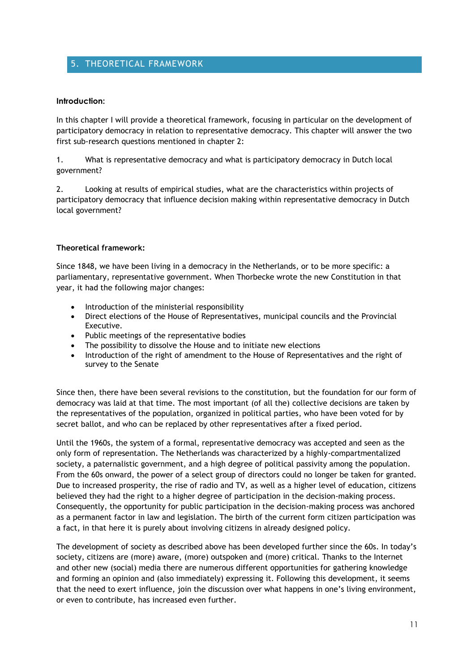## <span id="page-11-0"></span>5. THEORETICAL FRAMEWORK

#### **Introduction:**

In this chapter I will provide a theoretical framework, focusing in particular on the development of participatory democracy in relation to representative democracy. This chapter will answer the two first sub-research questions mentioned in chapter 2:

1. What is representative democracy and what is participatory democracy in Dutch local government?

2. Looking at results of empirical studies, what are the characteristics within projects of participatory democracy that influence decision making within representative democracy in Dutch local government?

## **Theoretical framework:**

Since 1848, we have been living in a democracy in the Netherlands, or to be more specific: a parliamentary, representative government. When Thorbecke wrote the new Constitution in that year, it had the following major changes:

- Introduction of the ministerial responsibility
- Direct elections of the House of Representatives, municipal councils and the Provincial Executive.
- Public meetings of the representative bodies
- The possibility to dissolve the House and to initiate new elections
- Introduction of the right of amendment to the House of Representatives and the right of survey to the Senate

Since then, there have been several revisions to the constitution, but the foundation for our form of democracy was laid at that time. The most important (of all the) collective decisions are taken by the representatives of the population, organized in political parties, who have been voted for by secret ballot, and who can be replaced by other representatives after a fixed period.

Until the 1960s, the system of a formal, representative democracy was accepted and seen as the only form of representation. The Netherlands was characterized by a highly-compartmentalized society, a paternalistic government, and a high degree of political passivity among the population. From the 60s onward, the power of a select group of directors could no longer be taken for granted. Due to increased prosperity, the rise of radio and TV, as well as a higher level of education, citizens believed they had the right to a higher degree of participation in the decision-making process. Consequently, the opportunity for public participation in the decision-making process was anchored as a permanent factor in law and legislation. The birth of the current form citizen participation was a fact, in that here it is purely about involving citizens in already designed policy.

The development of society as described above has been developed further since the 60s. In today's society, citizens are (more) aware, (more) outspoken and (more) critical. Thanks to the Internet and other new (social) media there are numerous different opportunities for gathering knowledge and forming an opinion and (also immediately) expressing it. Following this development, it seems that the need to exert influence, join the discussion over what happens in one's living environment, or even to contribute, has increased even further.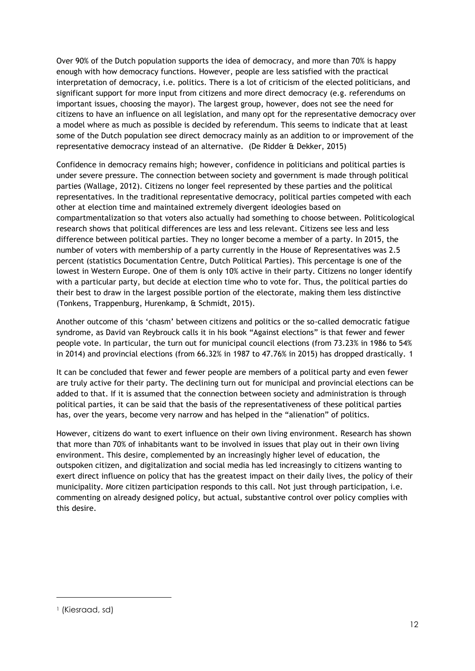Over 90% of the Dutch population supports the idea of democracy, and more than 70% is happy enough with how democracy functions. However, people are less satisfied with the practical interpretation of democracy, i.e. politics. There is a lot of criticism of the elected politicians, and significant support for more input from citizens and more direct democracy (e.g. referendums on important issues, choosing the mayor). The largest group, however, does not see the need for citizens to have an influence on all legislation, and many opt for the representative democracy over a model where as much as possible is decided by referendum. This seems to indicate that at least some of the Dutch population see direct democracy mainly as an addition to or improvement of the representative democracy instead of an alternative. (De Ridder & Dekker, 2015)

Confidence in democracy remains high; however, confidence in politicians and political parties is under severe pressure. The connection between society and government is made through political parties (Wallage, 2012). Citizens no longer feel represented by these parties and the political representatives. In the traditional representative democracy, political parties competed with each other at election time and maintained extremely divergent ideologies based on compartmentalization so that voters also actually had something to choose between. Politicological research shows that political differences are less and less relevant. Citizens see less and less difference between political parties. They no longer become a member of a party. In 2015, the number of voters with membership of a party currently in the House of Representatives was 2.5 percent (statistics Documentation Centre, Dutch Political Parties). This percentage is one of the lowest in Western Europe. One of them is only 10% active in their party. Citizens no longer identify with a particular party, but decide at election time who to vote for. Thus, the political parties do their best to draw in the largest possible portion of the electorate, making them less distinctive (Tonkens, Trappenburg, Hurenkamp, & Schmidt, 2015).

Another outcome of this 'chasm' between citizens and politics or the so-called democratic fatigue syndrome, as David van Reybrouck calls it in his book "Against elections" is that fewer and fewer people vote. In particular, the turn out for municipal council elections (from 73.23% in 1986 to 54% in 2014) and provincial elections (from 66.32% in 1987 to 47.76% in 2015) has dropped drastically. 1

It can be concluded that fewer and fewer people are members of a political party and even fewer are truly active for their party. The declining turn out for municipal and provincial elections can be added to that. If it is assumed that the connection between society and administration is through political parties, it can be said that the basis of the representativeness of these political parties has, over the years, become very narrow and has helped in the "alienation" of politics.

However, citizens do want to exert influence on their own living environment. Research has shown that more than 70% of inhabitants want to be involved in issues that play out in their own living environment. This desire, complemented by an increasingly higher level of education, the outspoken citizen, and digitalization and social media has led increasingly to citizens wanting to exert direct influence on policy that has the greatest impact on their daily lives, the policy of their municipality. More citizen participation responds to this call. Not just through participation, i.e. commenting on already designed policy, but actual, substantive control over policy complies with this desire.

1

<sup>1</sup> (Kiesraad, sd)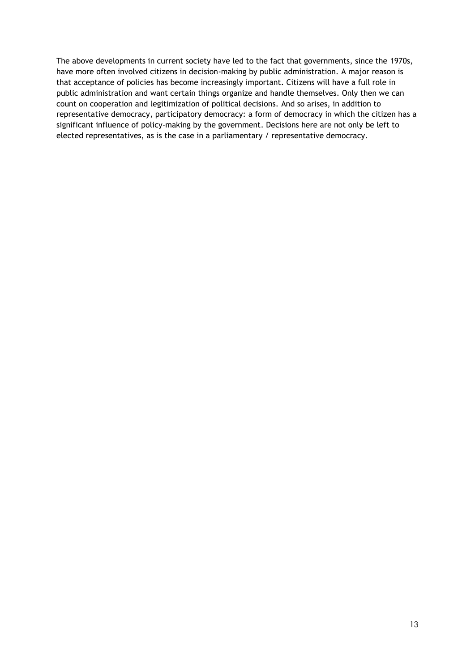The above developments in current society have led to the fact that governments, since the 1970s, have more often involved citizens in decision-making by public administration. A major reason is that acceptance of policies has become increasingly important. Citizens will have a full role in public administration and want certain things organize and handle themselves. Only then we can count on cooperation and legitimization of political decisions. And so arises, in addition to representative democracy, participatory democracy: a form of democracy in which the citizen has a significant influence of policy-making by the government. Decisions here are not only be left to elected representatives, as is the case in a parliamentary / representative democracy.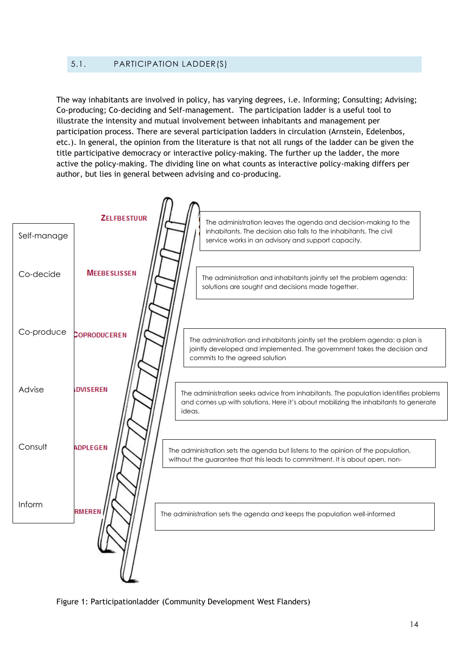## <span id="page-14-0"></span>5.1. PARTICIPATION LADDER(S)

The way inhabitants are involved in policy, has varying degrees, i.e. Informing; Consulting; Advising; Co-producing; Co-deciding and Self-management. The participation ladder is a useful tool to illustrate the intensity and mutual involvement between inhabitants and management per participation process. There are several participation ladders in circulation (Arnstein, Edelenbos, etc.). In general, the opinion from the literature is that not all rungs of the ladder can be given the title participative democracy or interactive policy-making. The further up the ladder, the more active the policy-making. The dividing line on what counts as interactive policy-making differs per author, but lies in general between advising and co-producing.

|             | <b>ZELFBESTUUR</b>  | The administration leaves the agenda and decision-making to the                                                                                                                            |
|-------------|---------------------|--------------------------------------------------------------------------------------------------------------------------------------------------------------------------------------------|
| Self-manage |                     | inhabitants. The decision also falls to the inhabitants. The civil<br>service works in an advisory and support capacity.                                                                   |
| Co-decide   | <b>MEEBESLISSEN</b> | The administration and inhabitants jointly set the problem agenda:<br>solutions are sought and decisions made together.                                                                    |
| Co-produce  | COPRODUCEREN        | The administration and inhabitants jointly set the problem agenda: a plan is<br>jointly developed and implemented. The government takes the decision and<br>commits to the agreed solution |
| Advise      | <b>DVISEREN</b>     | The administration seeks advice from inhabitants. The population identifies problems<br>and comes up with solutions. Here it's about mobilizing the inhabitants to generate<br>ideas.      |
| Consult     | <b>ADPLEGEN</b>     | The administration sets the agenda but listens to the opinion of the population,<br>without the guarantee that this leads to commitment. It is about open, non-                            |
| Inform      | <b>RMEREN</b>       | The administration sets the agenda and keeps the population well-informed                                                                                                                  |
|             |                     |                                                                                                                                                                                            |

Figure 1: Participationladder (Community Development West Flanders)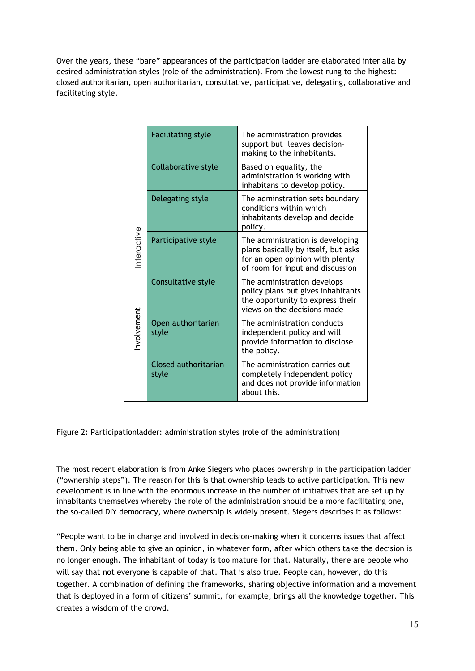Over the years, these "bare" appearances of the participation ladder are elaborated inter alia by desired administration styles (role of the administration). From the lowest rung to the highest: closed authoritarian, open authoritarian, consultative, participative, delegating, collaborative and facilitating style.

|            | <b>Facilitating style</b>     | The administration provides<br>support but leaves decision-<br>making to the inhabitants.                                                      |
|------------|-------------------------------|------------------------------------------------------------------------------------------------------------------------------------------------|
|            | Collaborative style           | Based on equality, the<br>administration is working with<br>inhabitans to develop policy.                                                      |
|            | Delegating style              | The adminstration sets boundary<br>conditions within which<br>inhabitants develop and decide<br>policy.                                        |
| nteractive | Participative style           | The administration is developing<br>plans basically by itself, but asks<br>for an open opinion with plenty<br>of room for input and discussion |
|            | Consultative style            | The administration develops<br>policy plans but gives inhabitants<br>the opportunity to express their<br>views on the decisions made           |
| nvolvement | Open authoritarian<br>style   | The administration conducts<br>independent policy and will<br>provide information to disclose<br>the policy.                                   |
|            | Closed authoritarian<br>style | The administration carries out<br>completely independent policy<br>and does not provide information<br>about this.                             |

Figure 2: Participationladder: administration styles (role of the administration)

The most recent elaboration is from Anke Siegers who places ownership in the participation ladder ("ownership steps"). The reason for this is that ownership leads to active participation. This new development is in line with the enormous increase in the number of initiatives that are set up by inhabitants themselves whereby the role of the administration should be a more facilitating one, the so-called DIY democracy, where ownership is widely present. Siegers describes it as follows:

"People want to be in charge and involved in decision-making when it concerns issues that affect them. Only being able to give an opinion, in whatever form, after which others take the decision is no longer enough. The inhabitant of today is too mature for that. Naturally, there are people who will say that not everyone is capable of that. That is also true. People can, however, do this together. A combination of defining the frameworks, sharing objective information and a movement that is deployed in a form of citizens' summit, for example, brings all the knowledge together. This example the cross of the crowds of the cross of the cross of the cross of the cross of the cross of the cross of the cross of the cross of the cross of the cross of the cross of the cross of the cross of the cross of the c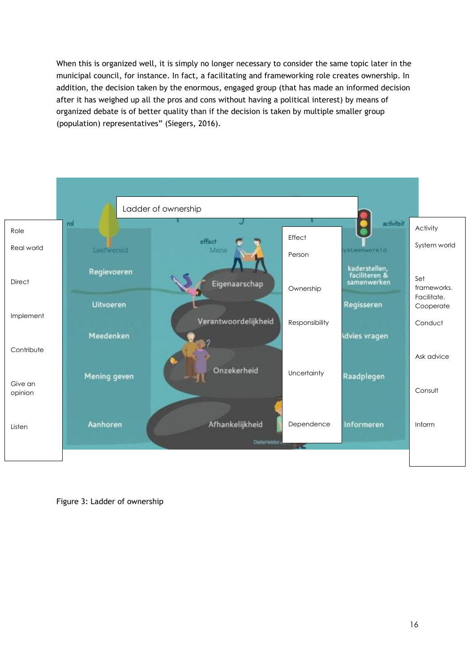When this is organized well, it is simply no longer necessary to consider the same topic later in the municipal council, for instance. In fact, a facilitating and frameworking role creates ownership. In addition, the decision taken by the enormous, engaged group (that has made an informed decision after it has weighed up all the pros and cons without having a political interest) by means of organized debate is of better quality than if the decision is taken by multiple smaller group (population) representatives" (Siegers, 2016).



Figure 3: Ladder of ownership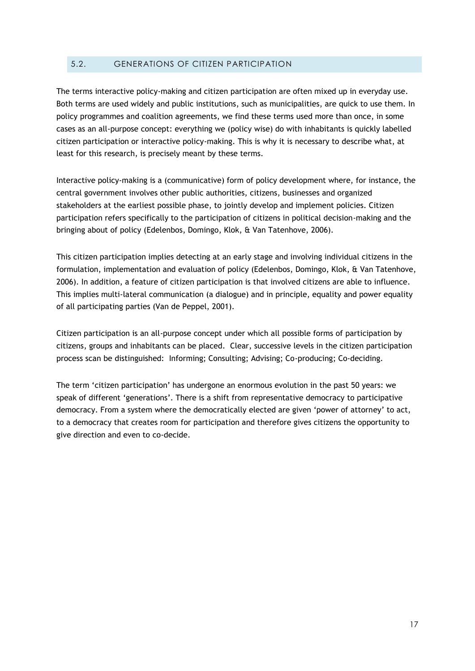## <span id="page-17-0"></span>5.2. GENERATIONS OF CITIZEN PARTICIPATION

The terms interactive policy-making and citizen participation are often mixed up in everyday use. Both terms are used widely and public institutions, such as municipalities, are quick to use them. In policy programmes and coalition agreements, we find these terms used more than once, in some cases as an all-purpose concept: everything we (policy wise) do with inhabitants is quickly labelled citizen participation or interactive policy-making. This is why it is necessary to describe what, at least for this research, is precisely meant by these terms.

Interactive policy-making is a (communicative) form of policy development where, for instance, the central government involves other public authorities, citizens, businesses and organized stakeholders at the earliest possible phase, to jointly develop and implement policies. Citizen participation refers specifically to the participation of citizens in political decision-making and the bringing about of policy (Edelenbos, Domingo, Klok, & Van Tatenhove, 2006).

This citizen participation implies detecting at an early stage and involving individual citizens in the formulation, implementation and evaluation of policy (Edelenbos, Domingo, Klok, & Van Tatenhove, 2006). In addition, a feature of citizen participation is that involved citizens are able to influence. This implies multi-lateral communication (a dialogue) and in principle, equality and power equality of all participating parties (Van de Peppel, 2001).

Citizen participation is an all-purpose concept under which all possible forms of participation by citizens, groups and inhabitants can be placed. Clear, successive levels in the citizen participation process scan be distinguished: Informing; Consulting; Advising; Co-producing; Co-deciding.

The term 'citizen participation' has undergone an enormous evolution in the past 50 years: we speak of different 'generations'. There is a shift from representative democracy to participative democracy. From a system where the democratically elected are given 'power of attorney' to act, to a democracy that creates room for participation and therefore gives citizens the opportunity to give direction and even to co-decide.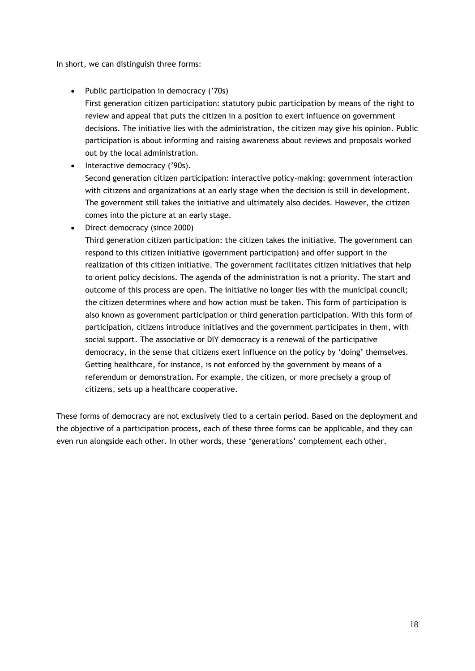In short, we can distinguish three forms:

• Public participation in democracy ('70s)

First generation citizen participation: statutory pubic participation by means of the right to review and appeal that puts the citizen in a position to exert influence on government decisions. The initiative lies with the administration, the citizen may give his opinion. Public participation is about informing and raising awareness about reviews and proposals worked out by the local administration.

- Interactive democracy ('90s). Second generation citizen participation: interactive policy-making: government interaction with citizens and organizations at an early stage when the decision is still in development. The government still takes the initiative and ultimately also decides. However, the citizen comes into the picture at an early stage.
- Direct democracy (since 2000)

Third generation citizen participation: the citizen takes the initiative. The government can respond to this citizen initiative (government participation) and offer support in the realization of this citizen initiative. The government facilitates citizen initiatives that help to orient policy decisions. The agenda of the administration is not a priority. The start and outcome of this process are open. The initiative no longer lies with the municipal council; the citizen determines where and how action must be taken. This form of participation is also known as government participation or third generation participation. With this form of participation, citizens introduce initiatives and the government participates in them, with social support. The associative or DIY democracy is a renewal of the participative democracy, in the sense that citizens exert influence on the policy by 'doing' themselves. Getting healthcare, for instance, is not enforced by the government by means of a referendum or demonstration. For example, the citizen, or more precisely a group of citizens, sets up a healthcare cooperative.

These forms of democracy are not exclusively tied to a certain period. Based on the deployment and the objective of a participation process, each of these three forms can be applicable, and they can even run alongside each other. In other words, these 'generations' complement each other.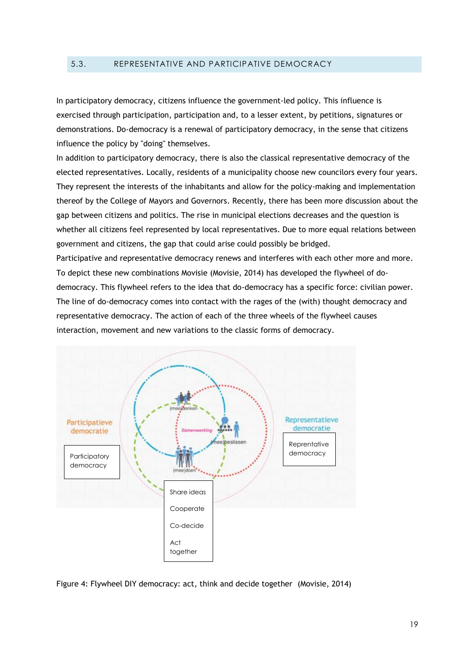#### <span id="page-19-0"></span>5.3. REPRESENTATIVE AND PARTICIPATIVE DEMOCRACY

In participatory democracy, citizens influence the government-led policy. This influence is exercised through participation, participation and, to a lesser extent, by petitions, signatures or demonstrations. Do-democracy is a renewal of participatory democracy, in the sense that citizens influence the policy by "doing" themselves.

In addition to participatory democracy, there is also the classical representative democracy of the elected representatives. Locally, residents of a municipality choose new councilors every four years. They represent the interests of the inhabitants and allow for the policy-making and implementation thereof by the College of Mayors and Governors. Recently, there has been more discussion about the gap between citizens and politics. The rise in municipal elections decreases and the question is whether all citizens feel represented by local representatives. Due to more equal relations between government and citizens, the gap that could arise could possibly be bridged.

Participative and representative democracy renews and interferes with each other more and more. To depict these new combinations Movisie (Movisie, 2014) has developed the flywheel of dodemocracy. This flywheel refers to the idea that do-democracy has a specific force: civilian power. The line of do-democracy comes into contact with the rages of the (with) thought democracy and representative democracy. The action of each of the three wheels of the flywheel causes interaction, movement and new variations to the classic forms of democracy.



Figure 4: Flywheel DIY democracy: act, think and decide together (Movisie, 2014)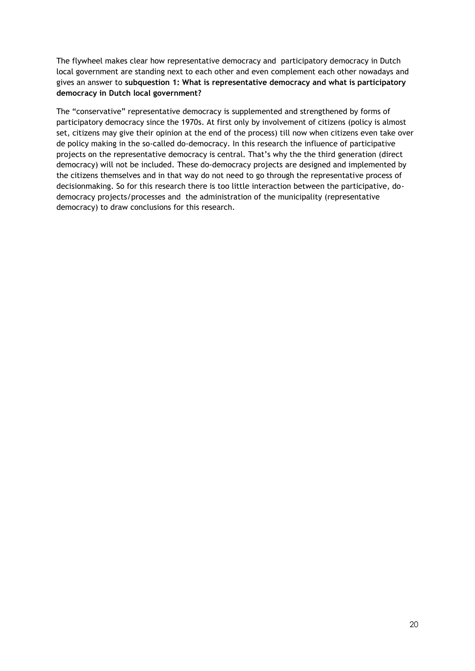The flywheel makes clear how representative democracy and participatory democracy in Dutch local government are standing next to each other and even complement each other nowadays and gives an answer to **subquestion 1: What is representative democracy and what is participatory democracy in Dutch local government?** 

The "conservative" representative democracy is supplemented and strengthened by forms of participatory democracy since the 1970s. At first only by involvement of citizens (policy is almost set, citizens may give their opinion at the end of the process) till now when citizens even take over de policy making in the so-called do-democracy. In this research the influence of participative projects on the representative democracy is central. That's why the the third generation (direct democracy) will not be included. These do-democracy projects are designed and implemented by the citizens themselves and in that way do not need to go through the representative process of decisionmaking. So for this research there is too little interaction between the participative, dodemocracy projects/processes and the administration of the municipality (representative democracy) to draw conclusions for this research.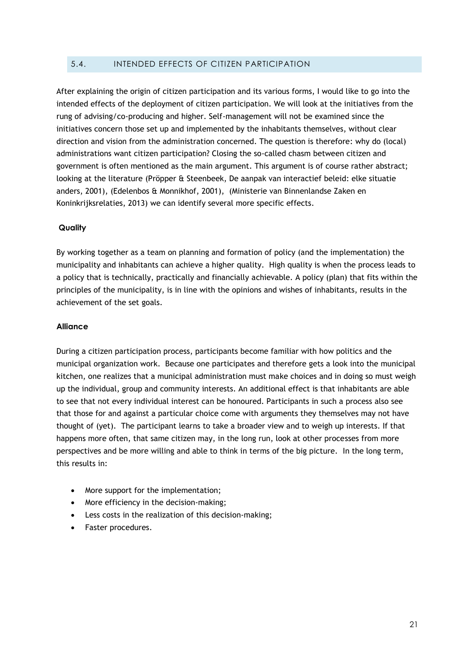## <span id="page-21-0"></span>5.4. INTENDED EFFECTS OF CITIZEN PARTICIPATION

After explaining the origin of citizen participation and its various forms, I would like to go into the intended effects of the deployment of citizen participation. We will look at the initiatives from the rung of advising/co-producing and higher. Self-management will not be examined since the initiatives concern those set up and implemented by the inhabitants themselves, without clear direction and vision from the administration concerned. The question is therefore: why do (local) administrations want citizen participation? Closing the so-called chasm between citizen and government is often mentioned as the main argument. This argument is of course rather abstract; looking at the literature (Pröpper & Steenbeek, De aanpak van interactief beleid: elke situatie anders, 2001), (Edelenbos & Monnikhof, 2001), (Ministerie van Binnenlandse Zaken en Koninkrijksrelaties, 2013) we can identify several more specific effects.

#### **Quality**

By working together as a team on planning and formation of policy (and the implementation) the municipality and inhabitants can achieve a higher quality. High quality is when the process leads to a policy that is technically, practically and financially achievable. A policy (plan) that fits within the principles of the municipality, is in line with the opinions and wishes of inhabitants, results in the achievement of the set goals.

#### **Alliance**

During a citizen participation process, participants become familiar with how politics and the municipal organization work. Because one participates and therefore gets a look into the municipal kitchen, one realizes that a municipal administration must make choices and in doing so must weigh up the individual, group and community interests. An additional effect is that inhabitants are able to see that not every individual interest can be honoured. Participants in such a process also see that those for and against a particular choice come with arguments they themselves may not have thought of (yet). The participant learns to take a broader view and to weigh up interests. If that happens more often, that same citizen may, in the long run, look at other processes from more perspectives and be more willing and able to think in terms of the big picture. In the long term, this results in:

- More support for the implementation;
- More efficiency in the decision-making;
- Less costs in the realization of this decision-making;
- Faster procedures.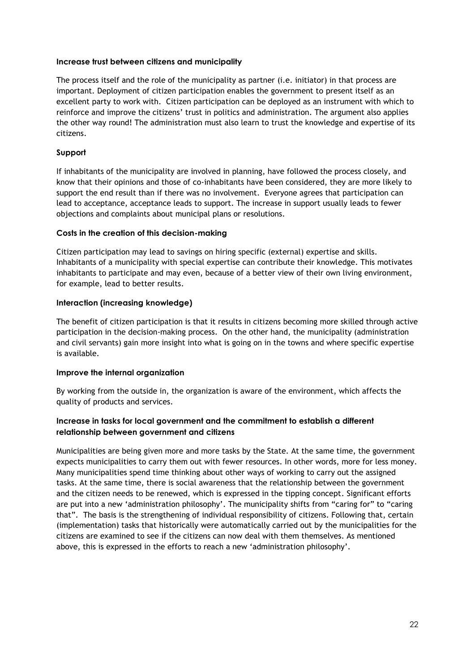#### **Increase trust between citizens and municipality**

The process itself and the role of the municipality as partner (i.e. initiator) in that process are important. Deployment of citizen participation enables the government to present itself as an excellent party to work with. Citizen participation can be deployed as an instrument with which to reinforce and improve the citizens' trust in politics and administration. The argument also applies the other way round! The administration must also learn to trust the knowledge and expertise of its citizens.

## **Support**

If inhabitants of the municipality are involved in planning, have followed the process closely, and know that their opinions and those of co-inhabitants have been considered, they are more likely to support the end result than if there was no involvement. Everyone agrees that participation can lead to acceptance, acceptance leads to support. The increase in support usually leads to fewer objections and complaints about municipal plans or resolutions.

## **Costs in the creation of this decision-making**

Citizen participation may lead to savings on hiring specific (external) expertise and skills. Inhabitants of a municipality with special expertise can contribute their knowledge. This motivates inhabitants to participate and may even, because of a better view of their own living environment, for example, lead to better results.

## **Interaction (increasing knowledge)**

The benefit of citizen participation is that it results in citizens becoming more skilled through active participation in the decision-making process. On the other hand, the municipality (administration and civil servants) gain more insight into what is going on in the towns and where specific expertise is available.

#### **Improve the internal organization**

By working from the outside in, the organization is aware of the environment, which affects the quality of products and services.

## **Increase in tasks for local government and the commitment to establish a different relationship between government and citizens**

Municipalities are being given more and more tasks by the State. At the same time, the government expects municipalities to carry them out with fewer resources. In other words, more for less money. Many municipalities spend time thinking about other ways of working to carry out the assigned tasks. At the same time, there is social awareness that the relationship between the government and the citizen needs to be renewed, which is expressed in the tipping concept. Significant efforts are put into a new 'administration philosophy'. The municipality shifts from "caring for" to "caring that". The basis is the strengthening of individual responsibility of citizens. Following that, certain (implementation) tasks that historically were automatically carried out by the municipalities for the citizens are examined to see if the citizens can now deal with them themselves. As mentioned above, this is expressed in the efforts to reach a new 'administration philosophy'.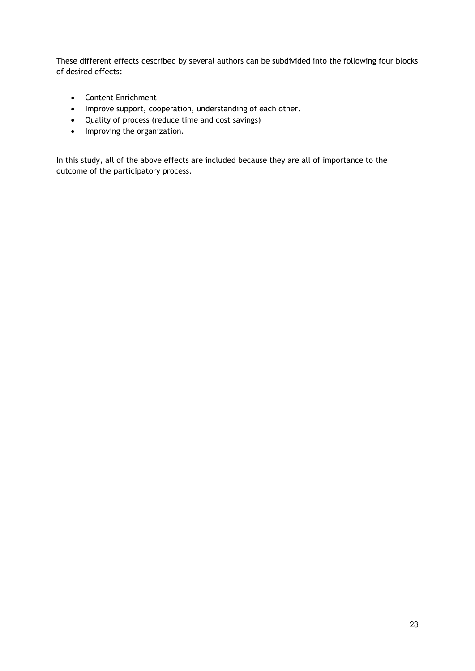These different effects described by several authors can be subdivided into the following four blocks of desired effects:

- Content Enrichment
- Improve support, cooperation, understanding of each other.
- Quality of process (reduce time and cost savings)
- Improving the organization.

In this study, all of the above effects are included because they are all of importance to the outcome of the participatory process.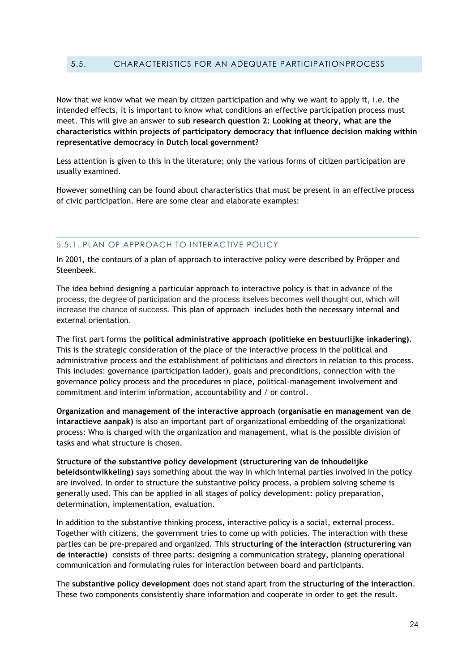#### <span id="page-24-0"></span>5.5. CHARACTERISTICS FOR AN ADEQUATE PARTICIPATIONPROCESS

Now that we know what we mean by citizen participation and why we want to apply it, i.e. the intended effects, it is important to know what conditions an effective participation process must meet. This will give an answer to **sub research question 2: Looking at theory, what are the characteristics within projects of participatory democracy that influence decision making within representative democracy in Dutch local government?**

Less attention is given to this in the literature; only the various forms of citizen participation are usually examined.

However something can be found about characteristics that must be present in an effective process of civic participation. Here are some clear and elaborate examples:

#### <span id="page-24-1"></span>5.5.1. PLAN OF APPROACH TO INTERACTIVE POLICY

In 2001, the contours of a plan of approach to interactive policy were described by Pröpper and Steenbeek.

The idea behind designing a particular approach to interactive policy is that in advance of the process, the degree of participation and the process itselves becomes well thought out, which will increase the chance of success. This plan of approach includes both the necessary internal and external orientation.

The first part forms the **political administrative approach (politieke en bestuurlijke inkadering)**. This is the strategic consideration of the place of the interactive process in the political and administrative process and the establishment of politicians and directors in relation to this process. This includes: governance (participation ladder), goals and preconditions, connection with the governance policy process and the procedures in place, political-management involvement and commitment and interim information, accountability and / or control.

**Organization and management of the interactive approach (organisatie en management van de intaractieve aanpak)** is also an important part of organizational embedding of the organizational process: Who is charged with the organization and management, what is the possible division of tasks and what structure is chosen.

**Structure of the substantive policy development (structurering van de inhoudelijke beleidsontwikkeling)** says something about the way in which internal parties involved in the policy are involved. In order to structure the substantive policy process, a problem solving scheme is generally used. This can be applied in all stages of policy development: policy preparation, determination, implementation, evaluation.

In addition to the substantive thinking process, interactive policy is a social, external process. Together with citizens, the government tries to come up with policies. The interaction with these parties can be pre-prepared and organized. This **structuring of the interaction (structurering van de interactie)** consists of three parts: designing a communication strategy, planning operational communication and formulating rules for interaction between board and participants.

The **substantive policy development** does not stand apart from the **structuring of the interaction**. These two components consistently share information and cooperate in order to get the result.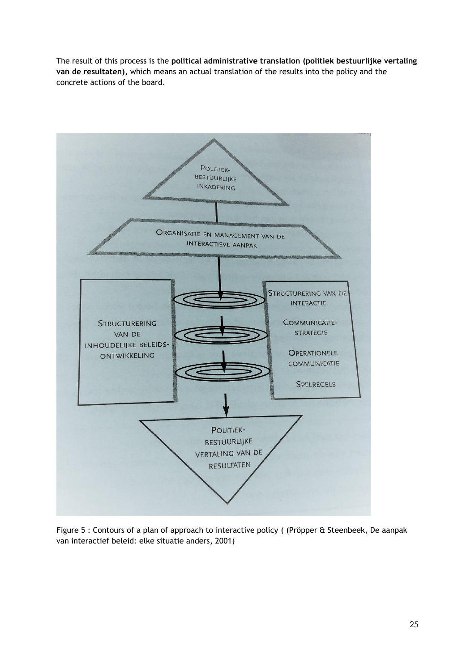The result of this process is the **political administrative translation (politiek bestuurlijke vertaling van de resultaten)**, which means an actual translation of the results into the policy and the concrete actions of the board.



Figure 5 : Contours of a plan of approach to interactive policy ( (Pröpper & Steenbeek, De aanpak van interactief beleid: elke situatie anders, 2001)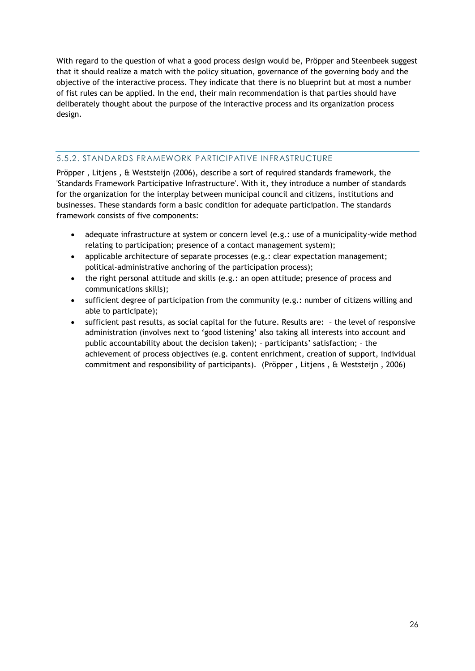With regard to the question of what a good process design would be, Pröpper and Steenbeek suggest that it should realize a match with the policy situation, governance of the governing body and the objective of the interactive process. They indicate that there is no blueprint but at most a number of fist rules can be applied. In the end, their main recommendation is that parties should have deliberately thought about the purpose of the interactive process and its organization process design.

## <span id="page-26-0"></span>5.5.2. STANDARDS FRAMEWORK PARTICIPATIVE INFRASTRUCTURE

Pröpper , Litjens , & Weststeijn (2006), describe a sort of required standards framework, the 'Standards Framework Participative Infrastructure'. With it, they introduce a number of standards for the organization for the interplay between municipal council and citizens, institutions and businesses. These standards form a basic condition for adequate participation. The standards framework consists of five components:

- adequate infrastructure at system or concern level (e.g.: use of a municipality-wide method relating to participation; presence of a contact management system);
- applicable architecture of separate processes (e.g.: clear expectation management; political-administrative anchoring of the participation process);
- the right personal attitude and skills (e.g.: an open attitude; presence of process and communications skills);
- sufficient degree of participation from the community (e.g.: number of citizens willing and able to participate);
- sufficient past results, as social capital for the future. Results are: the level of responsive administration (involves next to 'good listening' also taking all interests into account and public accountability about the decision taken); – participants' satisfaction; – the achievement of process objectives (e.g. content enrichment, creation of support, individual commitment and responsibility of participants). (Pröpper , Litjens , & Weststeijn , 2006)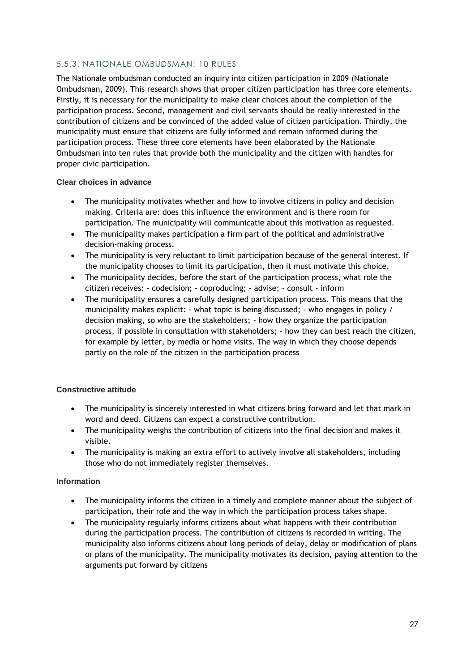## <span id="page-27-0"></span>5.5.3. NATIONALE OMBUDSMAN: 10 RULES

The Nationale ombudsman conducted an inquiry into citizen participation in 2009 (Nationale Ombudsman, 2009). This research shows that proper citizen participation has three core elements. Firstly, it is necessary for the municipality to make clear choices about the completion of the participation process. Second, management and civil servants should be really interested in the contribution of citizens and be convinced of the added value of citizen participation. Thirdly, the municipality must ensure that citizens are fully informed and remain informed during the participation process. These three core elements have been elaborated by the Nationale Ombudsman into ten rules that provide both the municipality and the citizen with handles for proper civic participation.

## **Clear choices in advance**

- The municipality motivates whether and how to involve citizens in policy and decision making. Criteria are: does this influence the environment and is there room for participation. The municipality will communicatie about this motivation as requested.
- The municipality makes participation a firm part of the political and administrative decision-making process.
- The municipality is very reluctant to limit participation because of the general interest. If the municipality chooses to limit its participation, then it must motivate this choice.
- The municipality decides, before the start of the participation process, what role the citizen receives: - codecision; - coproducing; - advise; - consult - inform
- The municipality ensures a carefully designed participation process. This means that the municipality makes explicit: - what topic is being discussed; - who engages in policy / decision making, so who are the stakeholders; - how they organize the participation process, if possible in consultation with stakeholders; - how they can best reach the citizen, for example by letter, by media or home visits. The way in which they choose depends partly on the role of the citizen in the participation process

## **Constructive attitude**

- The municipality is sincerely interested in what citizens bring forward and let that mark in word and deed. Citizens can expect a constructive contribution.
- The municipality weighs the contribution of citizens into the final decision and makes it visible.
- The municipality is making an extra effort to actively involve all stakeholders, including those who do not immediately register themselves.

#### **Information**

- The municipality informs the citizen in a timely and complete manner about the subject of participation, their role and the way in which the participation process takes shape.
- The municipality regularly informs citizens about what happens with their contribution during the participation process. The contribution of citizens is recorded in writing. The municipality also informs citizens about long periods of delay, delay or modification of plans or plans of the municipality. The municipality motivates its decision, paying attention to the arguments put forward by citizens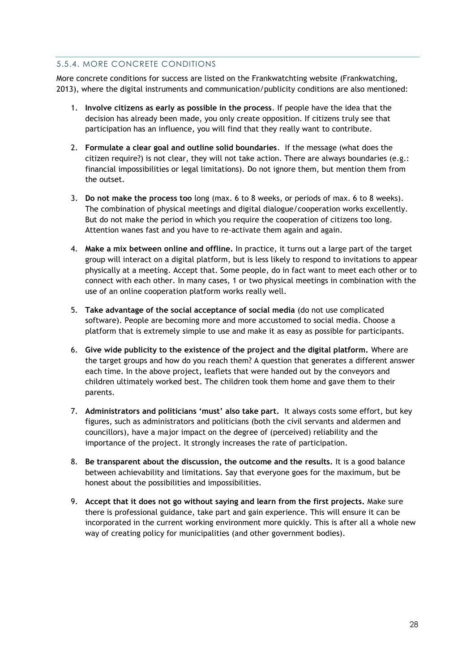## <span id="page-28-0"></span>5.5.4. MORE CONCRETE CONDITIONS

More concrete conditions for success are listed on the Frankwatchting website (Frankwatching, 2013), where the digital instruments and communication/publicity conditions are also mentioned:

- 1. **Involve citizens as early as possible in the process**. If people have the idea that the decision has already been made, you only create opposition. If citizens truly see that participation has an influence, you will find that they really want to contribute.
- 2. **Formulate a clear goal and outline solid boundaries**. If the message (what does the citizen require?) is not clear, they will not take action. There are always boundaries (e.g.: financial impossibilities or legal limitations). Do not ignore them, but mention them from the outset.
- 3. **Do not make the process too** long (max. 6 to 8 weeks, or periods of max. 6 to 8 weeks). The combination of physical meetings and digital dialogue/cooperation works excellently. But do not make the period in which you require the cooperation of citizens too long. Attention wanes fast and you have to re-activate them again and again.
- 4. **Make a mix between online and offline.** In practice, it turns out a large part of the target group will interact on a digital platform, but is less likely to respond to invitations to appear physically at a meeting. Accept that. Some people, do in fact want to meet each other or to connect with each other. In many cases, 1 or two physical meetings in combination with the use of an online cooperation platform works really well.
- 5. **Take advantage of the social acceptance of social media** (do not use complicated software). People are becoming more and more accustomed to social media. Choose a platform that is extremely simple to use and make it as easy as possible for participants.
- 6. **Give wide publicity to the existence of the project and the digital platform.** Where are the target groups and how do you reach them? A question that generates a different answer each time. In the above project, leaflets that were handed out by the conveyors and children ultimately worked best. The children took them home and gave them to their parents.
- 7. **Administrators and politicians 'must' also take part.** It always costs some effort, but key figures, such as administrators and politicians (both the civil servants and aldermen and councillors), have a major impact on the degree of (perceived) reliability and the importance of the project. It strongly increases the rate of participation.
- 8. **Be transparent about the discussion, the outcome and the results.** It is a good balance between achievability and limitations. Say that everyone goes for the maximum, but be honest about the possibilities and impossibilities.
- 9. **Accept that it does not go without saying and learn from the first projects.** Make sure there is professional guidance, take part and gain experience. This will ensure it can be incorporated in the current working environment more quickly. This is after all a whole new way of creating policy for municipalities (and other government bodies).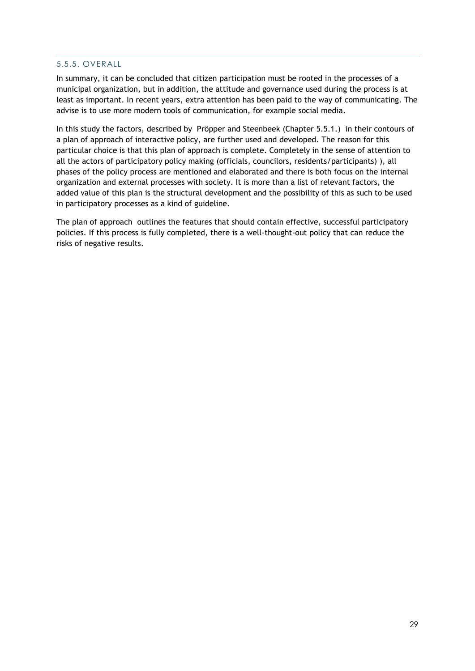## <span id="page-29-0"></span>5.5.5. OVERALL

In summary, it can be concluded that citizen participation must be rooted in the processes of a municipal organization, but in addition, the attitude and governance used during the process is at least as important. In recent years, extra attention has been paid to the way of communicating. The advise is to use more modern tools of communication, for example social media.

In this study the factors, described by Pröpper and Steenbeek (Chapter 5.5.1.) in their contours of a plan of approach of interactive policy, are further used and developed. The reason for this particular choice is that this plan of approach is complete. Completely in the sense of attention to all the actors of participatory policy making (officials, councilors, residents/participants) ), all phases of the policy process are mentioned and elaborated and there is both focus on the internal organization and external processes with society. It is more than a list of relevant factors, the added value of this plan is the structural development and the possibility of this as such to be used in participatory processes as a kind of guideline.

The plan of approach outlines the features that should contain effective, successful participatory policies. If this process is fully completed, there is a well-thought-out policy that can reduce the risks of negative results.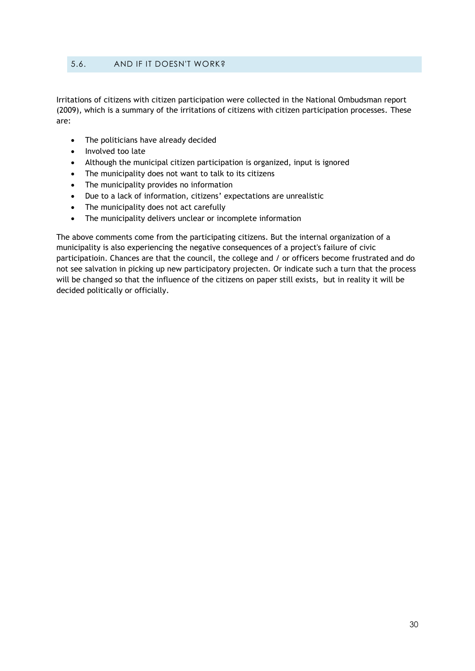## <span id="page-30-0"></span>5.6. AND IF IT DOESN'T WORK?

Irritations of citizens with citizen participation were collected in the National Ombudsman report (2009), which is a summary of the irritations of citizens with citizen participation processes. These are:

- The politicians have already decided
- Involved too late
- Although the municipal citizen participation is organized, input is ignored
- The municipality does not want to talk to its citizens
- The municipality provides no information
- Due to a lack of information, citizens' expectations are unrealistic
- The municipality does not act carefully
- The municipality delivers unclear or incomplete information

The above comments come from the participating citizens. But the internal organization of a municipality is also experiencing the negative consequences of a project's failure of civic participatioin. Chances are that the council, the college and / or officers become frustrated and do not see salvation in picking up new participatory projecten. Or indicate such a turn that the process will be changed so that the influence of the citizens on paper still exists, but in reality it will be decided politically or officially.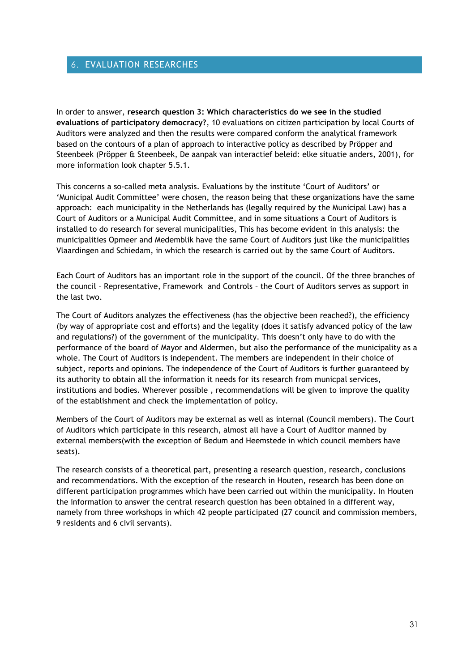## <span id="page-31-0"></span>6. EVALUATION RESEARCHES

In order to answer, **research question 3: Which characteristics do we see in the studied evaluations of participatory democracy?**, 10 evaluations on citizen participation by local Courts of Auditors were analyzed and then the results were compared conform the analytical framework based on the contours of a plan of approach to interactive policy as described by Pröpper and Steenbeek (Pröpper & Steenbeek, De aanpak van interactief beleid: elke situatie anders, 2001), for more information look chapter 5.5.1.

This concerns a so-called meta analysis. Evaluations by the institute 'Court of Auditors' or 'Municipal Audit Committee' were chosen, the reason being that these organizations have the same approach: each municipality in the Netherlands has (legally required by the Municipal Law) has a Court of Auditors or a Municipal Audit Committee, and in some situations a Court of Auditors is installed to do research for several municipalities, This has become evident in this analysis: the municipalities Opmeer and Medemblik have the same Court of Auditors just like the municipalities Vlaardingen and Schiedam, in which the research is carried out by the same Court of Auditors.

Each Court of Auditors has an important role in the support of the council. Of the three branches of the council – Representative, Framework and Controls – the Court of Auditors serves as support in the last two.

The Court of Auditors analyzes the effectiveness (has the objective been reached?), the efficiency (by way of appropriate cost and efforts) and the legality (does it satisfy advanced policy of the law and regulations?) of the government of the municipality. This doesn't only have to do with the performance of the board of Mayor and Aldermen, but also the performance of the municipality as a whole. The Court of Auditors is independent. The members are independent in their choice of subject, reports and opinions. The independence of the Court of Auditors is further guaranteed by its authority to obtain all the information it needs for its research from municpal services, institutions and bodies. Wherever possible , recommendations will be given to improve the quality of the establishment and check the implementation of policy.

Members of the Court of Auditors may be external as well as internal (Council members). The Court of Auditors which participate in this research, almost all have a Court of Auditor manned by external members(with the exception of Bedum and Heemstede in which council members have seats).

The research consists of a theoretical part, presenting a research question, research, conclusions and recommendations. With the exception of the research in Houten, research has been done on different participation programmes which have been carried out within the municipality. In Houten the information to answer the central research question has been obtained in a different way, namely from three workshops in which 42 people participated (27 council and commission members, 9 residents and 6 civil servants).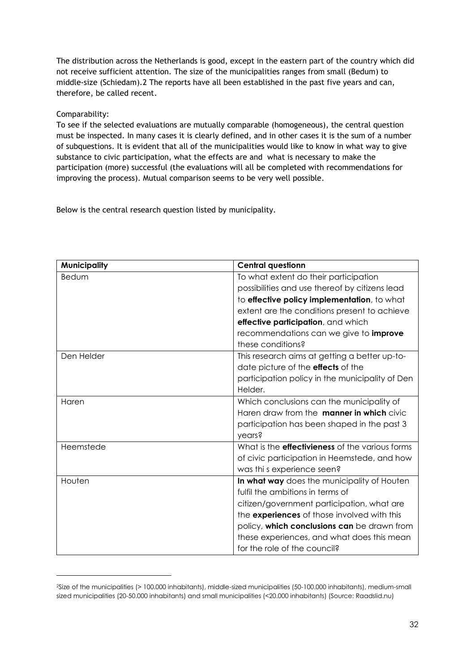The distribution across the Netherlands is good, except in the eastern part of the country which did not receive sufficient attention. The size of the municipalities ranges from small (Bedum) to middle-size (Schiedam).2 The reports have all been established in the past five years and can, therefore, be called recent.

## Comparability:

 $\overline{a}$ 

To see if the selected evaluations are mutually comparable (homogeneous), the central question must be inspected. In many cases it is clearly defined, and in other cases it is the sum of a number of subquestions. It is evident that all of the municipalities would like to know in what way to give substance to civic participation, what the effects are and what is necessary to make the participation (more) successful (the evaluations will all be completed with recommendations for improving the process). Mutual comparison seems to be very well possible.

Below is the central research question listed by municipality.

| <b>Municipality</b> | <b>Central questionn</b>                               |
|---------------------|--------------------------------------------------------|
| Bedum               | To what extent do their participation                  |
|                     | possibilities and use thereof by citizens lead         |
|                     | to effective policy implementation, to what            |
|                     | extent are the conditions present to achieve           |
|                     | effective participation, and which                     |
|                     | recommendations can we give to <i>improve</i>          |
|                     | these conditions?                                      |
| Den Helder          | This research aims at getting a better up-to-          |
|                     | date picture of the <b>effects</b> of the              |
|                     | participation policy in the municipality of Den        |
|                     | Helder.                                                |
| Haren               | Which conclusions can the municipality of              |
|                     | Haren draw from the <b>manner in which</b> civic       |
|                     | participation has been shaped in the past 3            |
|                     | years?                                                 |
| Heemstede           | What is the <b>effectivieness</b> of the various forms |
|                     | of civic participation in Heemstede, and how           |
|                     | was thi s experience seen?                             |
| Houten              | In what way does the municipality of Houten            |
|                     | fulfil the ambitions in terms of                       |
|                     | citizen/government participation, what are             |
|                     | the experiences of those involved with this            |
|                     | policy, which conclusions can be drawn from            |
|                     | these experiences, and what does this mean             |
|                     | for the role of the council?                           |

<sup>2</sup>Size of the municipalities (> 100.000 inhabitants), middle-sized municipalities (50-100.000 inhabitants), medium-small sized municipalities (20-50.000 inhabitants) and small municipalities (<20.000 inhabitants) (Source: Raadslid.nu)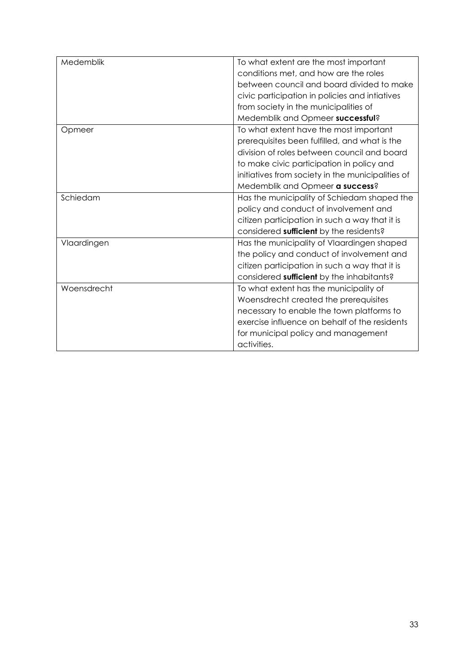| Medemblik   | To what extent are the most important             |
|-------------|---------------------------------------------------|
|             | conditions met, and how are the roles             |
|             | between council and board divided to make         |
|             | civic participation in policies and intiatives    |
|             | from society in the municipalities of             |
|             | Medemblik and Opmeer successful?                  |
| Opmeer      | To what extent have the most important            |
|             | prerequisites been fulfilled, and what is the     |
|             | division of roles between council and board       |
|             | to make civic participation in policy and         |
|             | initiatives from society in the municipalities of |
|             | Medemblik and Opmeer a success?                   |
| Schiedam    | Has the municipality of Schiedam shaped the       |
|             | policy and conduct of involvement and             |
|             | citizen participation in such a way that it is    |
|             | considered sufficient by the residents?           |
| Vlaardingen | Has the municipality of Vlaardingen shaped        |
|             | the policy and conduct of involvement and         |
|             | citizen participation in such a way that it is    |
|             | considered sufficient by the inhabitants?         |
| Woensdrecht | To what extent has the municipality of            |
|             | Woensdrecht created the prerequisites             |
|             | necessary to enable the town platforms to         |
|             | exercise influence on behalf of the residents     |
|             | for municipal policy and management               |
|             | activities.                                       |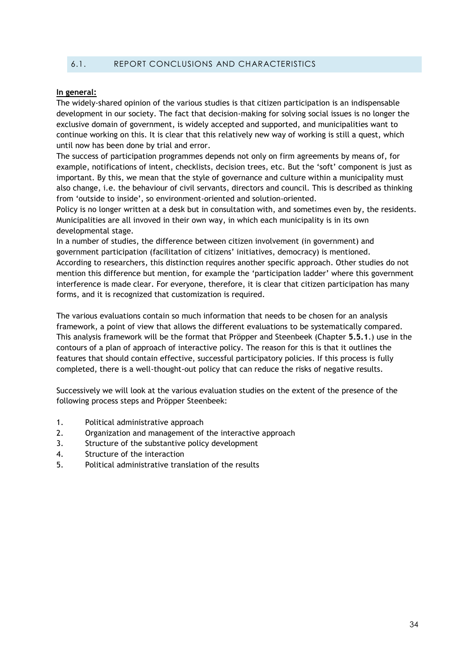## <span id="page-34-0"></span>6.1. REPORT CONCLUSIONS AND CHARACTERISTICS

#### **In general:**

The widely-shared opinion of the various studies is that citizen participation is an indispensable development in our society. The fact that decision-making for solving social issues is no longer the exclusive domain of government, is widely accepted and supported, and municipalities want to continue working on this. It is clear that this relatively new way of working is still a quest, which until now has been done by trial and error.

The success of participation programmes depends not only on firm agreements by means of, for example, notifications of intent, checklists, decision trees, etc. But the 'soft' component is just as important. By this, we mean that the style of governance and culture within a municipality must also change, i.e. the behaviour of civil servants, directors and council. This is described as thinking from 'outside to inside', so environment-oriented and solution-oriented.

Policy is no longer written at a desk but in consultation with, and sometimes even by, the residents. Municipalities are all invoved in their own way, in which each municipality is in its own developmental stage.

In a number of studies, the difference between citizen involvement (in government) and government participation (facilitation of citizens' initiatives, democracy) is mentioned. According to researchers, this distinction requires another specific approach. Other studies do not mention this difference but mention, for example the 'participation ladder' where this government interference is made clear. For everyone, therefore, it is clear that citizen participation has many forms, and it is recognized that customization is required.

The various evaluations contain so much information that needs to be chosen for an analysis framework, a point of view that allows the different evaluations to be systematically compared. This analysis framework will be the format that Pröpper and Steenbeek (Chapter **5.5.1**.) use in the contours of a plan of approach of interactive policy. The reason for this is that it outlines the features that should contain effective, successful participatory policies. If this process is fully completed, there is a well-thought-out policy that can reduce the risks of negative results.

Successively we will look at the various evaluation studies on the extent of the presence of the following process steps and Pröpper Steenbeek:

- 1. Political administrative approach
- 2. Organization and management of the interactive approach
- 3. Structure of the substantive policy development
- 4. Structure of the interaction
- 5. Political administrative translation of the results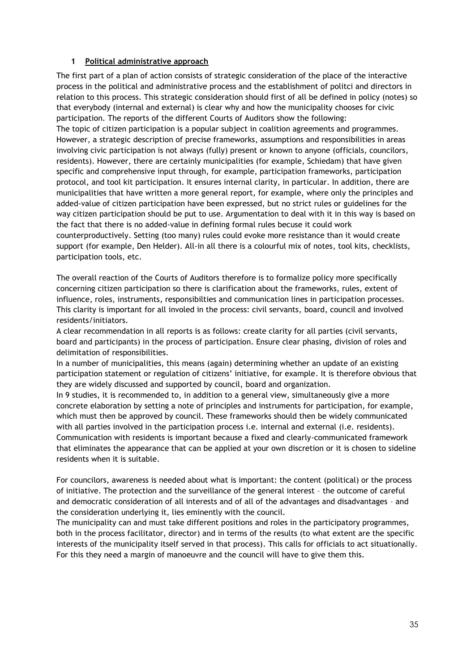## **1 Political administrative approach**

The first part of a plan of action consists of strategic consideration of the place of the interactive process in the political and administrative process and the establishment of politci and directors in relation to this process. This strategic consideration should first of all be defined in policy (notes) so that everybody (internal and external) is clear why and how the municipality chooses for civic participation. The reports of the different Courts of Auditors show the following: The topic of citizen participation is a popular subject in coalition agreements and programmes. However, a strategic description of precise frameworks, assumptions and responsibilities in areas involving civic participation is not always (fully) present or known to anyone (officials, councilors, residents). However, there are certainly municipalities (for example, Schiedam) that have given specific and comprehensive input through, for example, participation frameworks, participation protocol, and tool kit participation. It ensures internal clarity, in particular. In addition, there are municipalities that have written a more general report, for example, where only the principles and added-value of citizen participation have been expressed, but no strict rules or guidelines for the way citizen participation should be put to use. Argumentation to deal with it in this way is based on the fact that there is no added-value in defining formal rules becuse it could work counterproductively. Setting (too many) rules could evoke more resistance than it would create support (for example, Den Helder). All-in all there is a colourful mix of notes, tool kits, checklists, participation tools, etc.

The overall reaction of the Courts of Auditors therefore is to formalize policy more specifically concerning citizen participation so there is clarification about the frameworks, rules, extent of influence, roles, instruments, responsibilties and communication lines in participation processes. This clarity is important for all involed in the process: civil servants, board, council and involved residents/initiators.

A clear recommendation in all reports is as follows: create clarity for all parties (civil servants, board and participants) in the process of participation. Ensure clear phasing, division of roles and delimitation of responsibilities.

In a number of municipalities, this means (again) determining whether an update of an existing participation statement or regulation of citizens' initiative, for example. It is therefore obvious that they are widely discussed and supported by council, board and organization.

In 9 studies, it is recommended to, in addition to a general view, simultaneously give a more concrete elaboration by setting a note of principles and instruments for participation, for example, which must then be approved by council. These frameworks should then be widely communicated with all parties involved in the participation process i.e. internal and external (i.e. residents). Communication with residents is important because a fixed and clearly-communicated framework that eliminates the appearance that can be applied at your own discretion or it is chosen to sideline residents when it is suitable.

For councilors, awareness is needed about what is important: the content (political) or the process of initiative. The protection and the surveillance of the general interest – the outcome of careful and democratic consideration of all interests and of all of the advantages and disadvantages – and the consideration underlying it, lies eminently with the council.

The municipality can and must take different positions and roles in the participatory programmes, both in the process facilitator, director) and in terms of the results (to what extent are the specific interests of the municipality itself served in that process). This calls for officials to act situationally. For this they need a margin of manoeuvre and the council will have to give them this.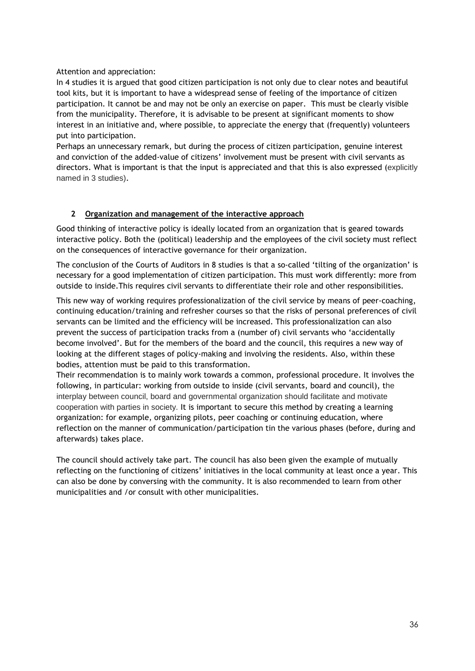Attention and appreciation:

In 4 studies it is argued that good citizen participation is not only due to clear notes and beautiful tool kits, but it is important to have a widespread sense of feeling of the importance of citizen participation. It cannot be and may not be only an exercise on paper. This must be clearly visible from the municipality. Therefore, it is advisable to be present at significant moments to show interest in an initiative and, where possible, to appreciate the energy that (frequently) volunteers put into participation.

Perhaps an unnecessary remark, but during the process of citizen participation, genuine interest and conviction of the added-value of citizens' involvement must be present with civil servants as directors. What is important is that the input is appreciated and that this is also expressed (explicitly named in 3 studies).

## **2 Organization and management of the interactive approach**

Good thinking of interactive policy is ideally located from an organization that is geared towards interactive policy. Both the (political) leadership and the employees of the civil society must reflect on the consequences of interactive governance for their organization.

The conclusion of the Courts of Auditors in 8 studies is that a so-called 'tilting of the organization' is necessary for a good implementation of citizen participation. This must work differently: more from outside to inside.This requires civil servants to differentiate their role and other responsibilities.

This new way of working requires professionalization of the civil service by means of peer-coaching, continuing education/training and refresher courses so that the risks of personal preferences of civil servants can be limited and the efficiency will be increased. This professionalization can also prevent the success of participation tracks from a (number of) civil servants who 'accidentally become involved'. But for the members of the board and the council, this requires a new way of looking at the different stages of policy-making and involving the residents. Also, within these bodies, attention must be paid to this transformation.

Their recommendation is to mainly work towards a common, professional procedure. It involves the following, in particular: working from outside to inside (civil servants, board and council), the interplay between council, board and governmental organization should facilitate and motivate cooperation with parties in society. It is important to secure this method by creating a learning organization: for example, organizing pilots, peer coaching or continuing education, where reflection on the manner of communication/participation tin the various phases (before, during and afterwards) takes place.

The council should actively take part. The council has also been given the example of mutually reflecting on the functioning of citizens' initiatives in the local community at least once a year. This can also be done by conversing with the community. It is also recommended to learn from other municipalities and /or consult with other municipalities.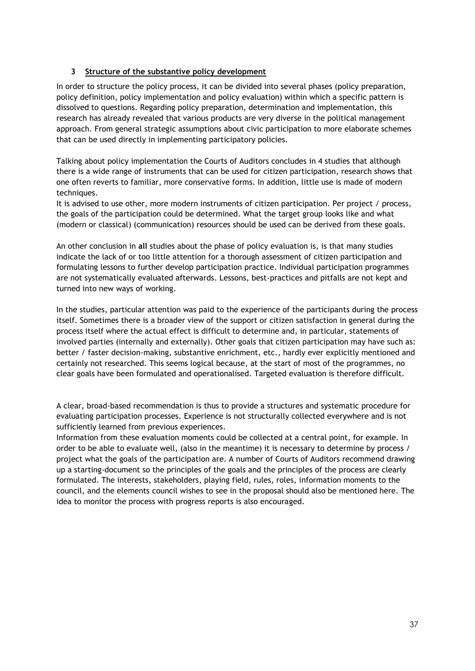## **3 Structure of the substantive policy development**

In order to structure the policy process, it can be divided into several phases (policy preparation, policy definition, policy implementation and policy evaluation) within which a specific pattern is dissolved to questions. Regarding policy preparation, determination and implementation, this research has already revealed that various products are very diverse in the political management approach. From general strategic assumptions about civic participation to more elaborate schemes that can be used directly in implementing participatory policies.

Talking about policy implementation the Courts of Auditors concludes in 4 studies that although there is a wide range of instruments that can be used for citizen participation, research shows that one often reverts to familiar, more conservative forms. In addition, little use is made of modern techniques.

It is advised to use other, more modern instruments of citizen participation. Per project / process, the goals of the participation could be determined. What the target group looks like and what (modern or classical) (communication) resources should be used can be derived from these goals.

An other conclusion in **all** studies about the phase of policy evaluation is, is that many studies indicate the lack of or too little attention for a thorough assessment of citizen participation and formulating lessons to further develop participation practice. Individual participation programmes are not systematically evaluated afterwards. Lessons, best-practices and pitfalls are not kept and turned into new ways of working.

In the studies, particular attention was paid to the experience of the participants during the process itself. Sometimes there is a broader view of the support or citizen satisfaction in general during the process itself where the actual effect is difficult to determine and, in particular, statements of involved parties (internally and externally). Other goals that citizen participation may have such as: better / faster decision-making, substantive enrichment, etc., hardly ever explicitly mentioned and certainly not researched. This seems logical because, at the start of most of the programmes, no clear goals have been formulated and operationalised. Targeted evaluation is therefore difficult.

A clear, broad-based recommendation is thus to provide a structures and systematic procedure for evaluating participation processes. Experience is not structurally collected everywhere and is not sufficiently learned from previous experiences.

Information from these evaluation moments could be collected at a central point, for example. In order to be able to evaluate well, (also in the meantime) it is necessary to determine by process / project what the goals of the participation are. A number of Courts of Auditors recommend drawing up a starting-document so the principles of the goals and the principles of the process are clearly formulated. The interests, stakeholders, playing field, rules, roles, information moments to the council, and the elements council wishes to see in the proposal should also be mentioned here. The idea to monitor the process with progress reports is also encouraged.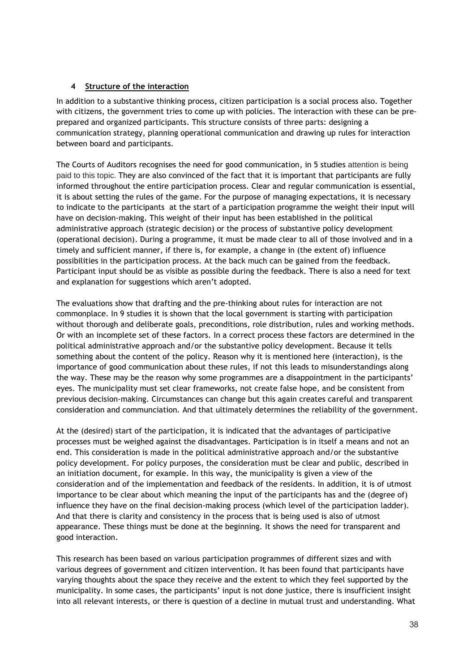## **4 Structure of the interaction**

In addition to a substantive thinking process, citizen participation is a social process also. Together with citizens, the government tries to come up with policies. The interaction with these can be preprepared and organized participants. This structure consists of three parts: designing a communication strategy, planning operational communication and drawing up rules for interaction between board and participants.

The Courts of Auditors recognises the need for good communication, in 5 studies attention is being paid to this topic. They are also convinced of the fact that it is important that participants are fully informed throughout the entire participation process. Clear and regular communication is essential, it is about setting the rules of the game. For the purpose of managing expectations, it is necessary to indicate to the participants at the start of a participation programme the weight their input will have on decision-making. This weight of their input has been established in the political administrative approach (strategic decision) or the process of substantive policy development (operational decision). During a programme, it must be made clear to all of those involved and in a timely and sufficient manner, if there is, for example, a change in (the extent of) influence possibilities in the participation process. At the back much can be gained from the feedback. Participant input should be as visible as possible during the feedback. There is also a need for text and explanation for suggestions which aren't adopted.

The evaluations show that drafting and the pre-thinking about rules for interaction are not commonplace. In 9 studies it is shown that the local government is starting with participation without thorough and deliberate goals, preconditions, role distribution, rules and working methods. Or with an incomplete set of these factors. In a correct process these factors are determined in the political administrative approach and/or the substantive policy development. Because it tells something about the content of the policy. Reason why it is mentioned here (interaction), is the importance of good communication about these rules, if not this leads to misunderstandings along the way. These may be the reason why some programmes are a disappointment in the participants' eyes. The municipality must set clear frameworks, not create false hope, and be consistent from previous decision-making. Circumstances can change but this again creates careful and transparent consideration and communciation. And that ultimately determines the reliability of the government.

At the (desired) start of the participation, it is indicated that the advantages of participative processes must be weighed against the disadvantages. Participation is in itself a means and not an end. This consideration is made in the political administrative approach and/or the substantive policy development. For policy purposes, the consideration must be clear and public, described in an initiation document, for example. In this way, the municipality is given a view of the consideration and of the implementation and feedback of the residents. In addition, it is of utmost importance to be clear about which meaning the input of the participants has and the (degree of) influence they have on the final decision-making process (which level of the participation ladder). And that there is clarity and consistency in the process that is being used is also of utmost appearance. These things must be done at the beginning. It shows the need for transparent and good interaction.

This research has been based on various participation programmes of different sizes and with various degrees of government and citizen intervention. It has been found that participants have varying thoughts about the space they receive and the extent to which they feel supported by the municipality. In some cases, the participants' input is not done justice, there is insufficient insight into all relevant interests, or there is question of a decline in mutual trust and understanding. What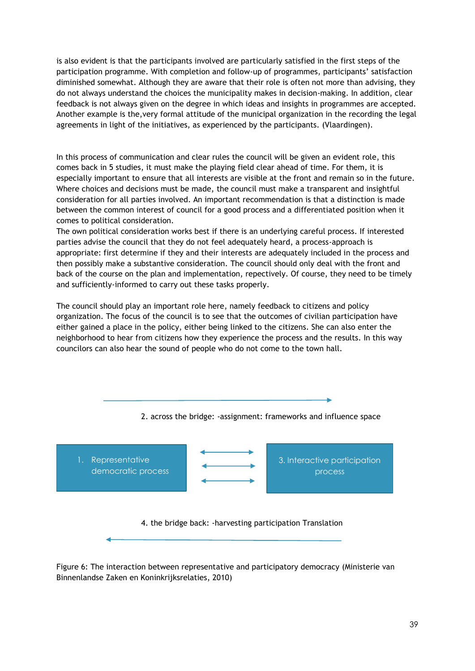is also evident is that the participants involved are particularly satisfied in the first steps of the participation programme. With completion and follow-up of programmes, participants' satisfaction diminished somewhat. Although they are aware that their role is often not more than advising, they do not always understand the choices the municipality makes in decision-making. In addition, clear feedback is not always given on the degree in which ideas and insights in programmes are accepted. Another example is the,very formal attitude of the municipal organization in the recording the legal agreements in light of the initiatives, as experienced by the participants. (Vlaardingen).

In this process of communication and clear rules the council will be given an evident role, this comes back in 5 studies, it must make the playing field clear ahead of time. For them, it is especially important to ensure that all interests are visible at the front and remain so in the future. Where choices and decisions must be made, the council must make a transparent and insightful consideration for all parties involved. An important recommendation is that a distinction is made between the common interest of council for a good process and a differentiated position when it comes to political consideration.

The own political consideration works best if there is an underlying careful process. If interested parties advise the council that they do not feel adequately heard, a process-approach is appropriate: first determine if they and their interests are adequately included in the process and then possibly make a substantive consideration. The council should only deal with the front and back of the course on the plan and implementation, repectively. Of course, they need to be timely and sufficiently-informed to carry out these tasks properly.

The council should play an important role here, namely feedback to citizens and policy organization. The focus of the council is to see that the outcomes of civilian participation have either gained a place in the policy, either being linked to the citizens. She can also enter the neighborhood to hear from citizens how they experience the process and the results. In this way councilors can also hear the sound of people who do not come to the town hall.

![](_page_39_Figure_4.jpeg)

Figure 6: The interaction between representative and participatory democracy (Ministerie van Binnenlandse Zaken en Koninkrijksrelaties, 2010)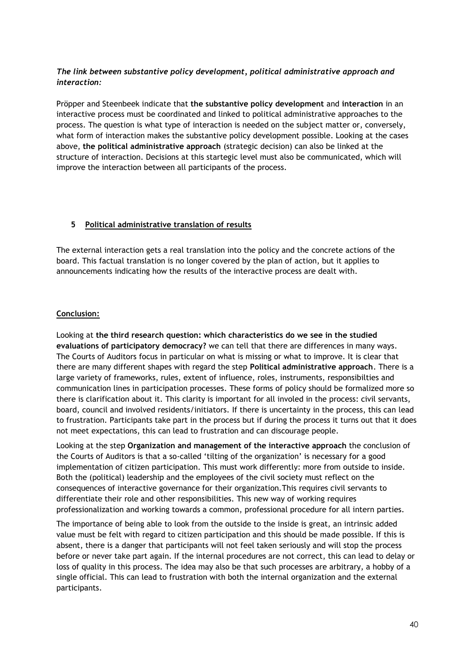## *The link between substantive policy development, political administrative approach and interaction:*

Pröpper and Steenbeek indicate that **the substantive policy development** and **interaction** in an interactive process must be coordinated and linked to political administrative approaches to the process. The question is what type of interaction is needed on the subject matter or, conversely, what form of interaction makes the substantive policy development possible. Looking at the cases above, **the political administrative approach** (strategic decision) can also be linked at the structure of interaction. Decisions at this startegic level must also be communicated, which will improve the interaction between all participants of the process.

#### **5 Political administrative translation of results**

The external interaction gets a real translation into the policy and the concrete actions of the board. This factual translation is no longer covered by the plan of action, but it applies to announcements indicating how the results of the interactive process are dealt with.

## **Conclusion:**

Looking at **the third research question: which characteristics do we see in the studied evaluations of participatory democracy?** we can tell that there are differences in many ways. The Courts of Auditors focus in particular on what is missing or what to improve. It is clear that there are many different shapes with regard the step **Political administrative approach**. There is a large variety of frameworks, rules, extent of influence, roles, instruments, responsibilties and communication lines in participation processes. These forms of policy should be formalized more so there is clarification about it. This clarity is important for all involed in the process: civil servants, board, council and involved residents/initiators. If there is uncertainty in the process, this can lead to frustration. Participants take part in the process but if during the process it turns out that it does not meet expectations, this can lead to frustration and can discourage people.

Looking at the step **Organization and management of the interactive approach** the conclusion of the Courts of Auditors is that a so-called 'tilting of the organization' is necessary for a good implementation of citizen participation. This must work differently: more from outside to inside. Both the (political) leadership and the employees of the civil society must reflect on the consequences of interactive governance for their organization.This requires civil servants to differentiate their role and other responsibilities. This new way of working requires professionalization and working towards a common, professional procedure for all intern parties.

The importance of being able to look from the outside to the inside is great, an intrinsic added value must be felt with regard to citizen participation and this should be made possible. If this is absent, there is a danger that participants will not feel taken seriously and will stop the process before or never take part again. If the internal procedures are not correct, this can lead to delay or loss of quality in this process. The idea may also be that such processes are arbitrary, a hobby of a single official. This can lead to frustration with both the internal organization and the external participants.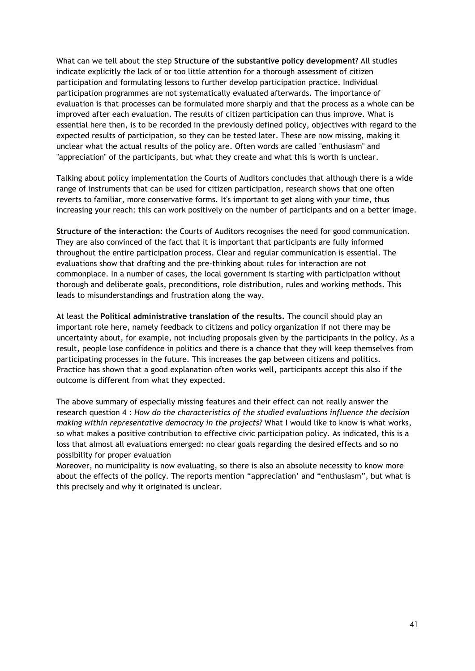What can we tell about the step **Structure of the substantive policy development**? All studies indicate explicitly the lack of or too little attention for a thorough assessment of citizen participation and formulating lessons to further develop participation practice. Individual participation programmes are not systematically evaluated afterwards. The importance of evaluation is that processes can be formulated more sharply and that the process as a whole can be improved after each evaluation. The results of citizen participation can thus improve. What is essential here then, is to be recorded in the previously defined policy, objectives with regard to the expected results of participation, so they can be tested later. These are now missing, making it unclear what the actual results of the policy are. Often words are called "enthusiasm" and "appreciation" of the participants, but what they create and what this is worth is unclear.

Talking about policy implementation the Courts of Auditors concludes that although there is a wide range of instruments that can be used for citizen participation, research shows that one often reverts to familiar, more conservative forms. It's important to get along with your time, thus increasing your reach: this can work positively on the number of participants and on a better image.

**Structure of the interaction**: the Courts of Auditors recognises the need for good communication. They are also convinced of the fact that it is important that participants are fully informed throughout the entire participation process. Clear and regular communication is essential. The evaluations show that drafting and the pre-thinking about rules for interaction are not commonplace. In a number of cases, the local government is starting with participation without thorough and deliberate goals, preconditions, role distribution, rules and working methods. This leads to misunderstandings and frustration along the way.

At least the **Political administrative translation of the results.** The council should play an important role here, namely feedback to citizens and policy organization if not there may be uncertainty about, for example, not including proposals given by the participants in the policy. As a result, people lose confidence in politics and there is a chance that they will keep themselves from participating processes in the future. This increases the gap between citizens and politics. Practice has shown that a good explanation often works well, participants accept this also if the outcome is different from what they expected.

The above summary of especially missing features and their effect can not really answer the research question 4 : *How do the characteristics of the studied evaluations influence the decision making within representative democracy in the projects?* What I would like to know is what works, so what makes a positive contribution to effective civic participation policy. As indicated, this is a loss that almost all evaluations emerged: no clear goals regarding the desired effects and so no possibility for proper evaluation

Moreover, no municipality is now evaluating, so there is also an absolute necessity to know more about the effects of the policy. The reports mention "appreciation' and "enthusiasm", but what is this precisely and why it originated is unclear.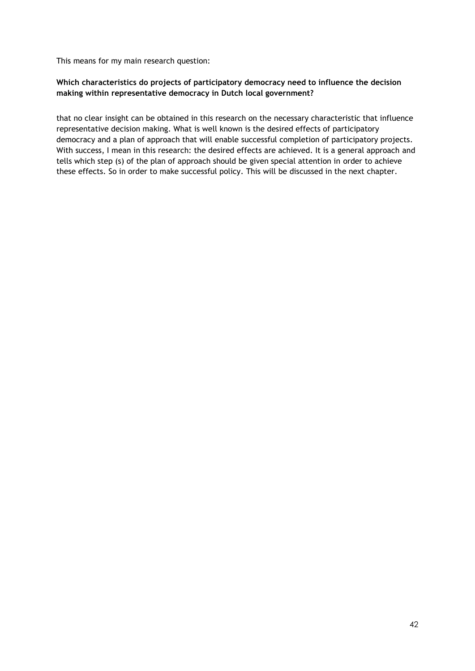This means for my main research question:

## **Which characteristics do projects of participatory democracy need to influence the decision making within representative democracy in Dutch local government?**

that no clear insight can be obtained in this research on the necessary characteristic that influence representative decision making. What is well known is the desired effects of participatory democracy and a plan of approach that will enable successful completion of participatory projects. With success, I mean in this research: the desired effects are achieved. It is a general approach and tells which step (s) of the plan of approach should be given special attention in order to achieve these effects. So in order to make successful policy. This will be discussed in the next chapter.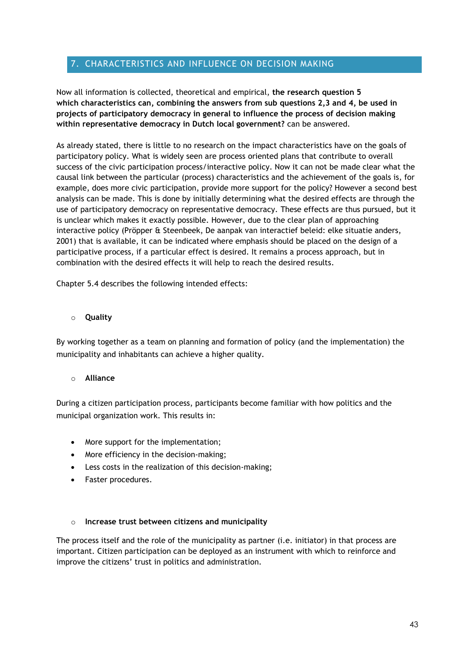## <span id="page-43-0"></span>7. CHARACTERISTICS AND INFLUENCE ON DECISION MAKING

Now all information is collected, theoretical and empirical, **the research question 5 which characteristics can, combining the answers from sub questions 2,3 and 4, be used in projects of participatory democracy in general to influence the process of decision making within representative democracy in Dutch local government?** can be answered.

As already stated, there is little to no research on the impact characteristics have on the goals of participatory policy. What is widely seen are process oriented plans that contribute to overall success of the civic participation process/interactive policy. Now it can not be made clear what the causal link between the particular (process) characteristics and the achievement of the goals is, for example, does more civic participation, provide more support for the policy? However a second best analysis can be made. This is done by initially determining what the desired effects are through the use of participatory democracy on representative democracy. These effects are thus pursued, but it is unclear which makes it exactly possible. However, due to the clear plan of approaching interactive policy (Pröpper & Steenbeek, De aanpak van interactief beleid: elke situatie anders, 2001) that is available, it can be indicated where emphasis should be placed on the design of a participative process, if a particular effect is desired. It remains a process approach, but in combination with the desired effects it will help to reach the desired results.

Chapter 5.4 describes the following intended effects:

## o **Quality**

By working together as a team on planning and formation of policy (and the implementation) the municipality and inhabitants can achieve a higher quality.

#### o **Alliance**

During a citizen participation process, participants become familiar with how politics and the municipal organization work. This results in:

- More support for the implementation;
- More efficiency in the decision-making;
- Less costs in the realization of this decision-making;
- Faster procedures.

#### o **Increase trust between citizens and municipality**

The process itself and the role of the municipality as partner (i.e. initiator) in that process are important. Citizen participation can be deployed as an instrument with which to reinforce and improve the citizens' trust in politics and administration.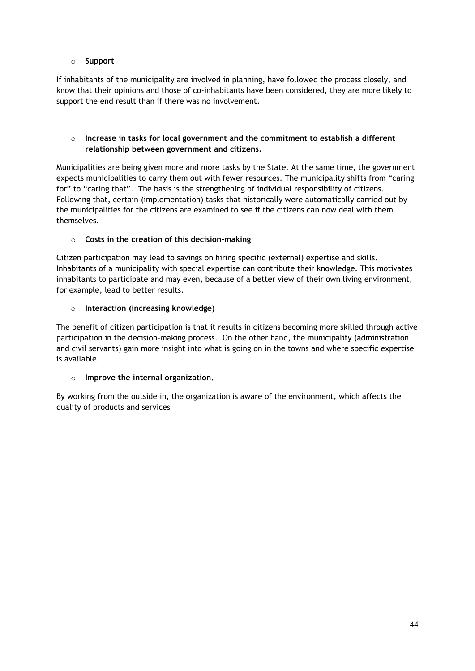## o **Support**

If inhabitants of the municipality are involved in planning, have followed the process closely, and know that their opinions and those of co-inhabitants have been considered, they are more likely to support the end result than if there was no involvement.

## o **Increase in tasks for local government and the commitment to establish a different relationship between government and citizens.**

Municipalities are being given more and more tasks by the State. At the same time, the government expects municipalities to carry them out with fewer resources. The municipality shifts from "caring for" to "caring that". The basis is the strengthening of individual responsibility of citizens. Following that, certain (implementation) tasks that historically were automatically carried out by the municipalities for the citizens are examined to see if the citizens can now deal with them themselves.

## o **Costs in the creation of this decision-making**

Citizen participation may lead to savings on hiring specific (external) expertise and skills. Inhabitants of a municipality with special expertise can contribute their knowledge. This motivates inhabitants to participate and may even, because of a better view of their own living environment, for example, lead to better results.

## o **Interaction (increasing knowledge)**

The benefit of citizen participation is that it results in citizens becoming more skilled through active participation in the decision-making process. On the other hand, the municipality (administration and civil servants) gain more insight into what is going on in the towns and where specific expertise is available.

## o **Improve the internal organization.**

By working from the outside in, the organization is aware of the environment, which affects the quality of products and services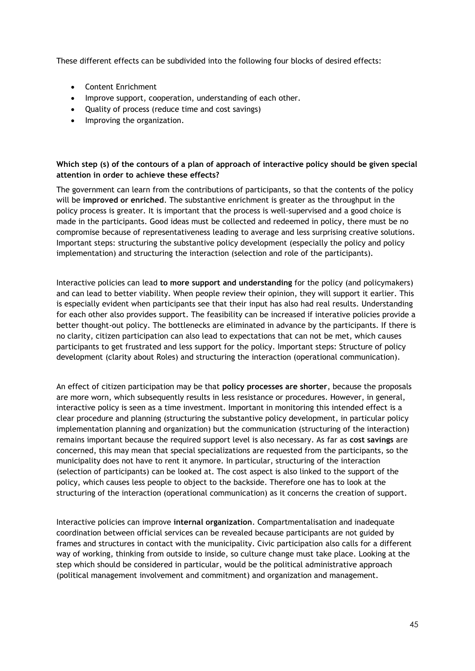These different effects can be subdivided into the following four blocks of desired effects:

- Content Enrichment
- Improve support, cooperation, understanding of each other.
- Quality of process (reduce time and cost savings)
- Improving the organization.

## **Which step (s) of the contours of a plan of approach of interactive policy should be given special attention in order to achieve these effects?**

The government can learn from the contributions of participants, so that the contents of the policy will be **improved or enriched**. The substantive enrichment is greater as the throughput in the policy process is greater. It is important that the process is well-supervised and a good choice is made in the participants. Good ideas must be collected and redeemed in policy, there must be no compromise because of representativeness leading to average and less surprising creative solutions. Important steps: structuring the substantive policy development (especially the policy and policy implementation) and structuring the interaction (selection and role of the participants).

Interactive policies can lead **to more support and understanding** for the policy (and policymakers) and can lead to better viability. When people review their opinion, they will support it earlier. This is especially evident when participants see that their input has also had real results. Understanding for each other also provides support. The feasibility can be increased if interative policies provide a better thought-out policy. The bottlenecks are eliminated in advance by the participants. If there is no clarity, citizen participation can also lead to expectations that can not be met, which causes participants to get frustrated and less support for the policy. Important steps: Structure of policy development (clarity about Roles) and structuring the interaction (operational communication).

An effect of citizen participation may be that **policy processes are shorter**, because the proposals are more worn, which subsequently results in less resistance or procedures. However, in general, interactive policy is seen as a time investment. Important in monitoring this intended effect is a clear procedure and planning (structuring the substantive policy development, in particular policy implementation planning and organization) but the communication (structuring of the interaction) remains important because the required support level is also necessary. As far as **cost savings** are concerned, this may mean that special specializations are requested from the participants, so the municipality does not have to rent it anymore. In particular, structuring of the interaction (selection of participants) can be looked at. The cost aspect is also linked to the support of the policy, which causes less people to object to the backside. Therefore one has to look at the structuring of the interaction (operational communication) as it concerns the creation of support.

Interactive policies can improve **internal organization**. Compartmentalisation and inadequate coordination between official services can be revealed because participants are not guided by frames and structures in contact with the municipality. Civic participation also calls for a different way of working, thinking from outside to inside, so culture change must take place. Looking at the step which should be considered in particular, would be the political administrative approach (political management involvement and commitment) and organization and management.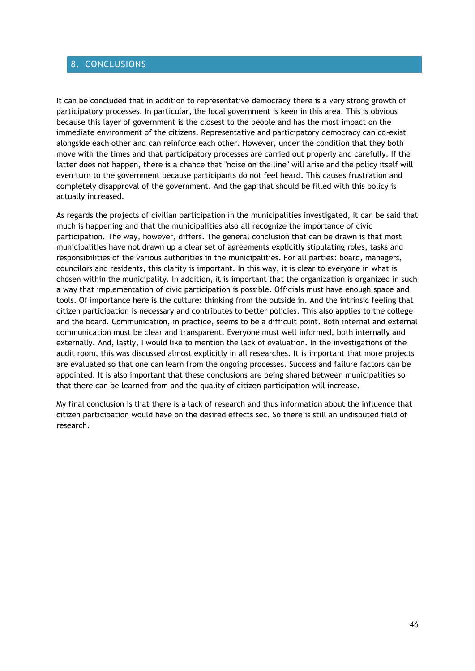## <span id="page-46-0"></span>8. CONCLUSIONS

It can be concluded that in addition to representative democracy there is a very strong growth of participatory processes. In particular, the local government is keen in this area. This is obvious because this layer of government is the closest to the people and has the most impact on the immediate environment of the citizens. Representative and participatory democracy can co-exist alongside each other and can reinforce each other. However, under the condition that they both move with the times and that participatory processes are carried out properly and carefully. If the latter does not happen, there is a chance that "noise on the line" will arise and the policy itself will even turn to the government because participants do not feel heard. This causes frustration and completely disapproval of the government. And the gap that should be filled with this policy is actually increased.

As regards the projects of civilian participation in the municipalities investigated, it can be said that much is happening and that the municipalities also all recognize the importance of civic participation. The way, however, differs. The general conclusion that can be drawn is that most municipalities have not drawn up a clear set of agreements explicitly stipulating roles, tasks and responsibilities of the various authorities in the municipalities. For all parties: board, managers, councilors and residents, this clarity is important. In this way, it is clear to everyone in what is chosen within the municipality. In addition, it is important that the organization is organized in such a way that implementation of civic participation is possible. Officials must have enough space and tools. Of importance here is the culture: thinking from the outside in. And the intrinsic feeling that citizen participation is necessary and contributes to better policies. This also applies to the college and the board. Communication, in practice, seems to be a difficult point. Both internal and external communication must be clear and transparent. Everyone must well informed, both internally and externally. And, lastly, I would like to mention the lack of evaluation. In the investigations of the audit room, this was discussed almost explicitly in all researches. It is important that more projects are evaluated so that one can learn from the ongoing processes. Success and failure factors can be appointed. It is also important that these conclusions are being shared between municipalities so that there can be learned from and the quality of citizen participation will increase.

My final conclusion is that there is a lack of research and thus information about the influence that citizen participation would have on the desired effects sec. So there is still an undisputed field of research.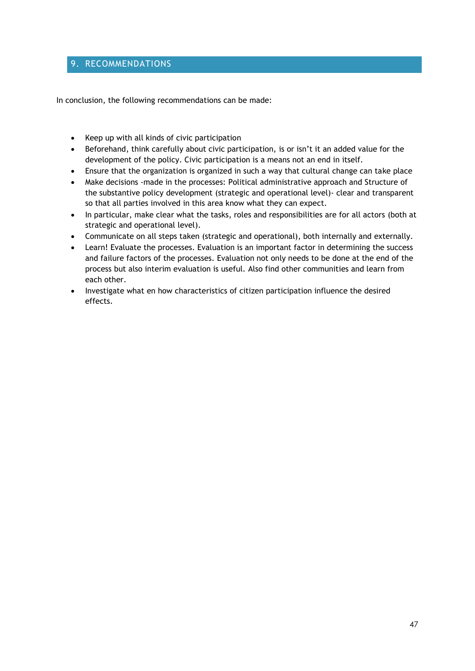## <span id="page-47-0"></span>9. RECOMMENDATIONS

In conclusion, the following recommendations can be made:

- Keep up with all kinds of civic participation
- Beforehand, think carefully about civic participation, is or isn't it an added value for the development of the policy. Civic participation is a means not an end in itself.
- Ensure that the organization is organized in such a way that cultural change can take place
- Make decisions -made in the processes: Political administrative approach and Structure of the substantive policy development (strategic and operational level)- clear and transparent so that all parties involved in this area know what they can expect.
- In particular, make clear what the tasks, roles and responsibilities are for all actors (both at strategic and operational level).
- Communicate on all steps taken (strategic and operational), both internally and externally.
- Learn! Evaluate the processes. Evaluation is an important factor in determining the success and failure factors of the processes. Evaluation not only needs to be done at the end of the process but also interim evaluation is useful. Also find other communities and learn from each other.
- Investigate what en how characteristics of citizen participation influence the desired effects.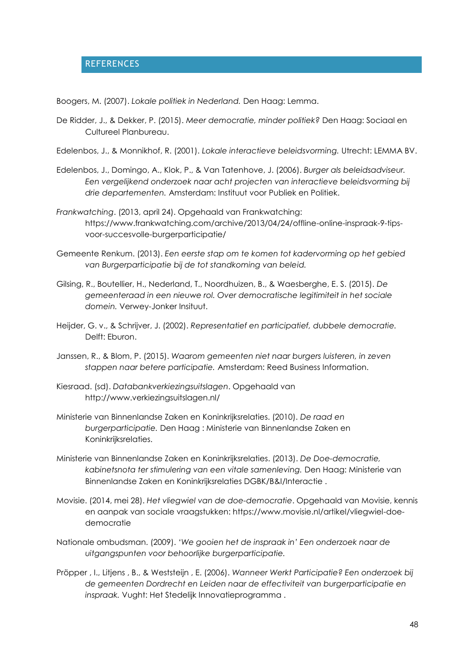## <span id="page-48-0"></span>REFERENCES

Boogers, M. (2007). *Lokale politiek in Nederland.* Den Haag: Lemma.

- De Ridder, J., & Dekker, P. (2015). *Meer democratie, minder politiek?* Den Haag: Sociaal en Cultureel Planbureau.
- Edelenbos, J., & Monnikhof, R. (2001). *Lokale interactieve beleidsvorming.* Utrecht: LEMMA BV.
- Edelenbos, J., Domingo, A., Klok, P., & Van Tatenhove, J. (2006). *Burger als beleidsadviseur. Een vergelijkend onderzoek naar acht projecten van interactieve beleidsvorming bij drie departementen.* Amsterdam: Instituut voor Publiek en Politiek.
- *Frankwatching*. (2013, april 24). Opgehaald van Frankwatching: https://www.frankwatching.com/archive/2013/04/24/offline-online-inspraak-9-tipsvoor-succesvolle-burgerparticipatie/
- Gemeente Renkum. (2013). *Een eerste stap om te komen tot kadervorming op het gebied van Burgerparticipatie bij de tot standkoming van beleid.*
- Gilsing, R., Boutellier, H., Nederland, T., Noordhuizen, B., & Waesberghe, E. S. (2015). *De gemeenteraad in een nieuwe rol. Over democratische legitimiteit in het sociale domein.* Verwey-Jonker Insituut.
- Heijder, G. v., & Schrijver, J. (2002). *Representatief en participatief, dubbele democratie.* Delft: Eburon.
- Janssen, R., & Blom, P. (2015). *Waarom gemeenten niet naar burgers luisteren, in zeven stappen naar betere participatie.* Amsterdam: Reed Business Information.
- Kiesraad. (sd). *Databankverkiezingsuitslagen*. Opgehaald van http://www.verkiezingsuitslagen.nl/
- Ministerie van Binnenlandse Zaken en Koninkrijksrelaties. (2010). *De raad en burgerparticipatie.* Den Haag : Ministerie van Binnenlandse Zaken en Koninkrijksrelaties.
- Ministerie van Binnenlandse Zaken en Koninkrijksrelaties. (2013). *De Doe-democratie, kabinetsnota ter stimulering van een vitale samenleving.* Den Haag: Ministerie van Binnenlandse Zaken en Koninkrijksrelaties DGBK/B&I/Interactie .
- Movisie. (2014, mei 28). *Het vliegwiel van de doe-democratie*. Opgehaald van Movisie, kennis en aanpak van sociale vraagstukken: https://www.movisie.nl/artikel/vliegwiel-doedemocratie
- Nationale ombudsman. (2009). *'We gooien het de inspraak in' Een onderzoek naar de uitgangspunten voor behoorlijke burgerparticipatie.*
- Pröpper , I., Litjens , B., & Weststeijn , E. (2006). *Wanneer Werkt Participatie? Een onderzoek bij de gemeenten Dordrecht en Leiden naar de effectiviteit van burgerparticipatie en inspraak.* Vught: Het Stedelijk Innovatieprogramma .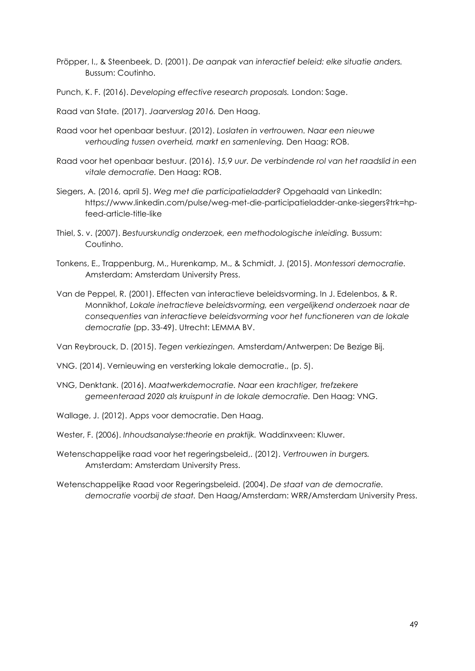- Pröpper, I., & Steenbeek, D. (2001). *De aanpak van interactief beleid: elke situatie anders.* Bussum: Coutinho.
- Punch, K. F. (2016). *Developing effective research proposals.* London: Sage.
- Raad van State. (2017). *Jaarverslag 2016.* Den Haag.
- Raad voor het openbaar bestuur. (2012). *Loslaten in vertrouwen. Naar een nieuwe verhouding tussen overheid, markt en samenleving.* Den Haag: ROB.
- Raad voor het openbaar bestuur. (2016). *15,9 uur. De verbindende rol van het raadslid in een vitale democratie.* Den Haag: ROB.
- Siegers, A. (2016, april 5). *Weg met die participatieladder?* Opgehaald van LinkedIn: https://www.linkedin.com/pulse/weg-met-die-participatieladder-anke-siegers?trk=hpfeed-article-title-like
- Thiel, S. v. (2007). *Bestuurskundig onderzoek, een methodologische inleiding.* Bussum: Coutinho.
- Tonkens, E., Trappenburg, M., Hurenkamp, M., & Schmidt, J. (2015). *Montessori democratie.* Amsterdam: Amsterdam University Press.
- Van de Peppel, R. (2001). Effecten van interactieve beleidsvorming. In J. Edelenbos, & R. Monnikhof, *Lokale inetractieve beleidsvorming, een vergelijkend onderzoek naar de consequenties van interactieve beleidsvorming voor het functioneren van de lokale democratie* (pp. 33-49). Utrecht: LEMMA BV.

Van Reybrouck, D. (2015). *Tegen verkiezingen.* Amsterdam/Antwerpen: De Bezige Bij.

VNG. (2014). Vernieuwing en versterking lokale democratie., (p. 5).

- VNG, Denktank. (2016). *Maatwerkdemocratie. Naar een krachtiger, trefzekere gemeenteraad 2020 als kruispunt in de lokale democratie.* Den Haag: VNG.
- Wallage, J. (2012). Apps voor democratie. Den Haag.
- Wester, F. (2006). *Inhoudsanalyse:theorie en praktijk.* Waddinxveen: Kluwer.
- Wetenschappelijke raad voor het regeringsbeleid,. (2012). *Vertrouwen in burgers.* Amsterdam: Amsterdam University Press.
- Wetenschappelijke Raad voor Regeringsbeleid. (2004). *De staat van de democratie. democratie voorbij de staat.* Den Haag/Amsterdam: WRR/Amsterdam University Press.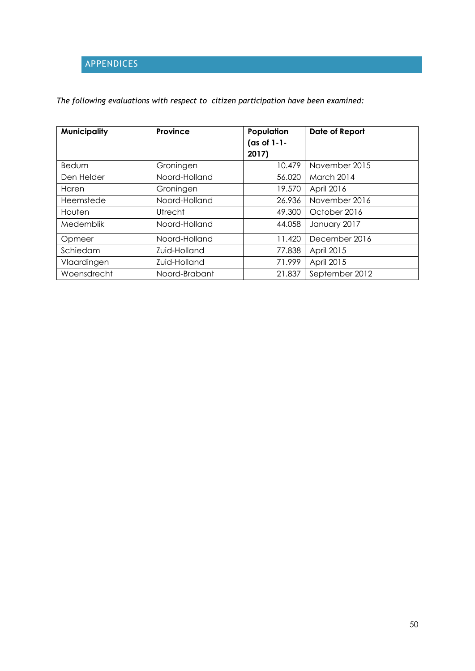# <span id="page-50-0"></span>APPENDICES

## *The following evaluations with respect to citizen participation have been examined:*

| <b>Municipality</b> | Province      | Population<br>(as of $1-1-$<br>2017) | Date of Report    |
|---------------------|---------------|--------------------------------------|-------------------|
| <b>Bedum</b>        | Groningen     | 10.479                               | November 2015     |
| Den Helder          | Noord-Holland | 56.020                               | <b>March 2014</b> |
| Haren               | Groningen     | 19.570                               | April 2016        |
| Heemstede           | Noord-Holland | 26.936                               | November 2016     |
| Houten              | Utrecht       | 49.300                               | October 2016      |
| Medemblik           | Noord-Holland | 44.058                               | January 2017      |
| Opmeer              | Noord-Holland | 11.420                               | December 2016     |
| Schiedam            | Zuid-Holland  | 77.838                               | April 2015        |
| Vlaardingen         | Zuid-Holland  | 71.999                               | April 2015        |
| Woensdrecht         | Noord-Brabant | 21.837                               | September 2012    |